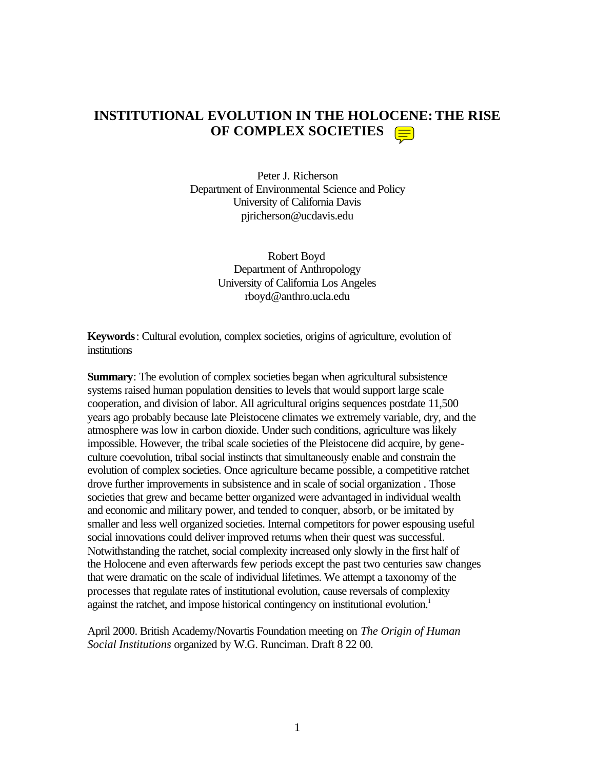# **INSTITUTIONAL EVOLUTION IN THE HOLOCENE: THE RISE OF COMPLEX SOCIETIES**

Peter J. Richerson Department of Environmental Science and Policy University of California Davis pjricherson@ucdavis.edu

> Robert Boyd Department of Anthropology University of California Los Angeles rboyd@anthro.ucla.edu

**Keywords**: Cultural evolution, complex societies, origins of agriculture, evolution of **institutions** 

**Summary:** The evolution of complex societies began when agricultural subsistence systems raised human population densities to levels that would support large scale cooperation, and division of labor. All agricultural origins sequences postdate 11,500 years ago probably because late Pleistocene climates we extremely variable, dry, and the atmosphere was low in carbon dioxide. Under such conditions, agriculture was likely impossible. However, the tribal scale societies of the Pleistocene did acquire, by geneculture coevolution, tribal social instincts that simultaneously enable and constrain the evolution of complex societies. Once agriculture became possible, a competitive ratchet drove further improvements in subsistence and in scale of social organization . Those societies that grew and became better organized were advantaged in individual wealth and economic and military power, and tended to conquer, absorb, or be imitated by smaller and less well organized societies. Internal competitors for power espousing useful social innovations could deliver improved returns when their quest was successful. Notwithstanding the ratchet, social complexity increased only slowly in the first half of the Holocene and even afterwards few periods except the past two centuries saw changes that were dramatic on the scale of individual lifetimes. We attempt a taxonomy of the processes that regulate rates of institutional evolution, cause reversals of complexity against the ratchet, and impose historical contingency on institutional evolution.<sup>1</sup>

April 2000. British Academy/Novartis Foundation meeting on *The Origin of Human Social Institutions* organized by W.G. Runciman. Draft 8 22 00.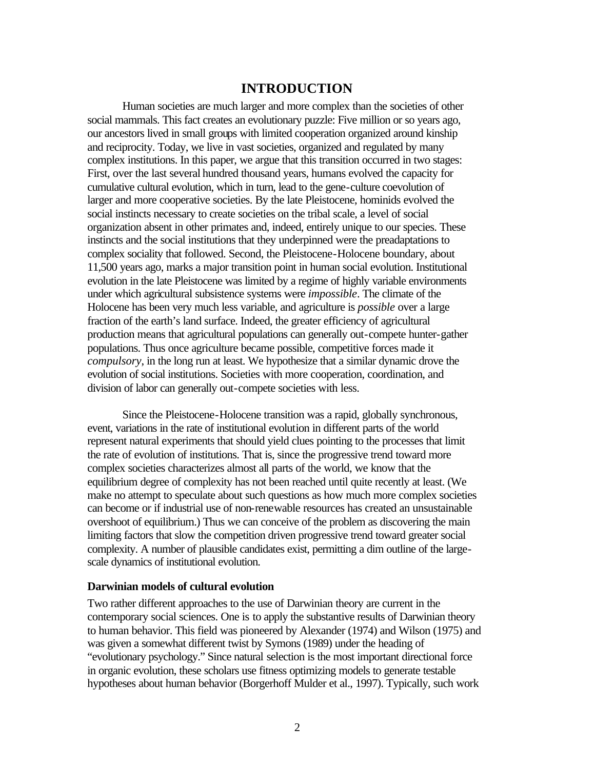# **INTRODUCTION**

Human societies are much larger and more complex than the societies of other social mammals. This fact creates an evolutionary puzzle: Five million or so years ago, our ancestors lived in small groups with limited cooperation organized around kinship and reciprocity. Today, we live in vast societies, organized and regulated by many complex institutions. In this paper, we argue that this transition occurred in two stages: First, over the last several hundred thousand years, humans evolved the capacity for cumulative cultural evolution, which in turn, lead to the gene-culture coevolution of larger and more cooperative societies. By the late Pleistocene, hominids evolved the social instincts necessary to create societies on the tribal scale, a level of social organization absent in other primates and, indeed, entirely unique to our species. These instincts and the social institutions that they underpinned were the preadaptations to complex sociality that followed. Second, the Pleistocene-Holocene boundary, about 11,500 years ago, marks a major transition point in human social evolution. Institutional evolution in the late Pleistocene was limited by a regime of highly variable environments under which agricultural subsistence systems were *impossible*. The climate of the Holocene has been very much less variable, and agriculture is *possible* over a large fraction of the earth's land surface. Indeed, the greater efficiency of agricultural production means that agricultural populations can generally out-compete hunter-gather populations. Thus once agriculture became possible, competitive forces made it *compulsory*, in the long run at least. We hypothesize that a similar dynamic drove the evolution of social institutions. Societies with more cooperation, coordination, and division of labor can generally out-compete societies with less.

Since the Pleistocene-Holocene transition was a rapid, globally synchronous, event, variations in the rate of institutional evolution in different parts of the world represent natural experiments that should yield clues pointing to the processes that limit the rate of evolution of institutions. That is, since the progressive trend toward more complex societies characterizes almost all parts of the world, we know that the equilibrium degree of complexity has not been reached until quite recently at least. (We make no attempt to speculate about such questions as how much more complex societies can become or if industrial use of non-renewable resources has created an unsustainable overshoot of equilibrium.) Thus we can conceive of the problem as discovering the main limiting factors that slow the competition driven progressive trend toward greater social complexity. A number of plausible candidates exist, permitting a dim outline of the largescale dynamics of institutional evolution.

#### **Darwinian models of cultural evolution**

Two rather different approaches to the use of Darwinian theory are current in the contemporary social sciences. One is to apply the substantive results of Darwinian theory to human behavior. This field was pioneered by Alexander (1974) and Wilson (1975) and was given a somewhat different twist by Symons (1989) under the heading of "evolutionary psychology." Since natural selection is the most important directional force in organic evolution, these scholars use fitness optimizing models to generate testable hypotheses about human behavior (Borgerhoff Mulder et al., 1997). Typically, such work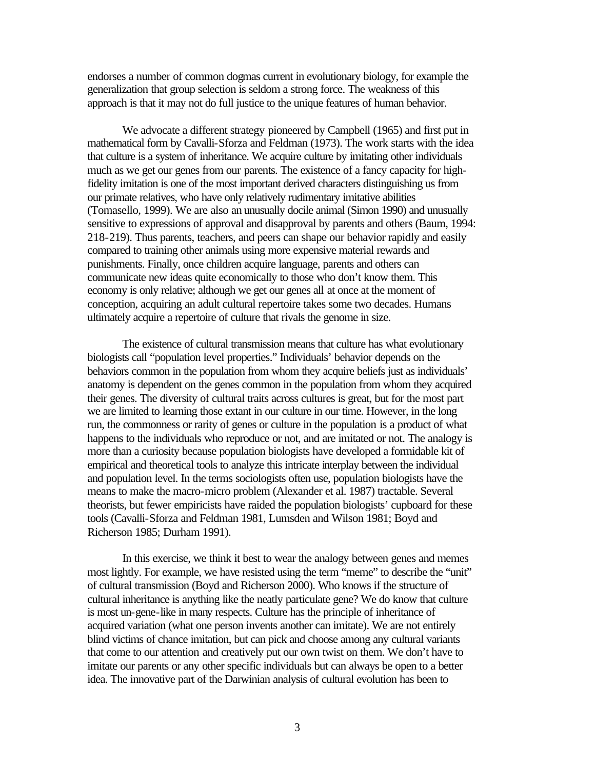endorses a number of common dogmas current in evolutionary biology, for example the generalization that group selection is seldom a strong force. The weakness of this approach is that it may not do full justice to the unique features of human behavior.

We advocate a different strategy pioneered by Campbell (1965) and first put in mathematical form by Cavalli-Sforza and Feldman (1973). The work starts with the idea that culture is a system of inheritance. We acquire culture by imitating other individuals much as we get our genes from our parents. The existence of a fancy capacity for highfidelity imitation is one of the most important derived characters distinguishing us from our primate relatives, who have only relatively rudimentary imitative abilities (Tomasello, 1999). We are also an unusually docile animal (Simon 1990) and unusually sensitive to expressions of approval and disapproval by parents and others (Baum, 1994: 218-219). Thus parents, teachers, and peers can shape our behavior rapidly and easily compared to training other animals using more expensive material rewards and punishments. Finally, once children acquire language, parents and others can communicate new ideas quite economically to those who don't know them. This economy is only relative; although we get our genes all at once at the moment of conception, acquiring an adult cultural repertoire takes some two decades. Humans ultimately acquire a repertoire of culture that rivals the genome in size.

The existence of cultural transmission means that culture has what evolutionary biologists call "population level properties." Individuals' behavior depends on the behaviors common in the population from whom they acquire beliefs just as individuals' anatomy is dependent on the genes common in the population from whom they acquired their genes. The diversity of cultural traits across cultures is great, but for the most part we are limited to learning those extant in our culture in our time. However, in the long run, the commonness or rarity of genes or culture in the population is a product of what happens to the individuals who reproduce or not, and are imitated or not. The analogy is more than a curiosity because population biologists have developed a formidable kit of empirical and theoretical tools to analyze this intricate interplay between the individual and population level. In the terms sociologists often use, population biologists have the means to make the macro-micro problem (Alexander et al. 1987) tractable. Several theorists, but fewer empiricists have raided the population biologists' cupboard for these tools (Cavalli-Sforza and Feldman 1981, Lumsden and Wilson 1981; Boyd and Richerson 1985; Durham 1991).

In this exercise, we think it best to wear the analogy between genes and memes most lightly. For example, we have resisted using the term "meme" to describe the "unit" of cultural transmission (Boyd and Richerson 2000). Who knows if the structure of cultural inheritance is anything like the neatly particulate gene? We do know that culture is most un-gene-like in many respects. Culture has the principle of inheritance of acquired variation (what one person invents another can imitate). We are not entirely blind victims of chance imitation, but can pick and choose among any cultural variants that come to our attention and creatively put our own twist on them. We don't have to imitate our parents or any other specific individuals but can always be open to a better idea. The innovative part of the Darwinian analysis of cultural evolution has been to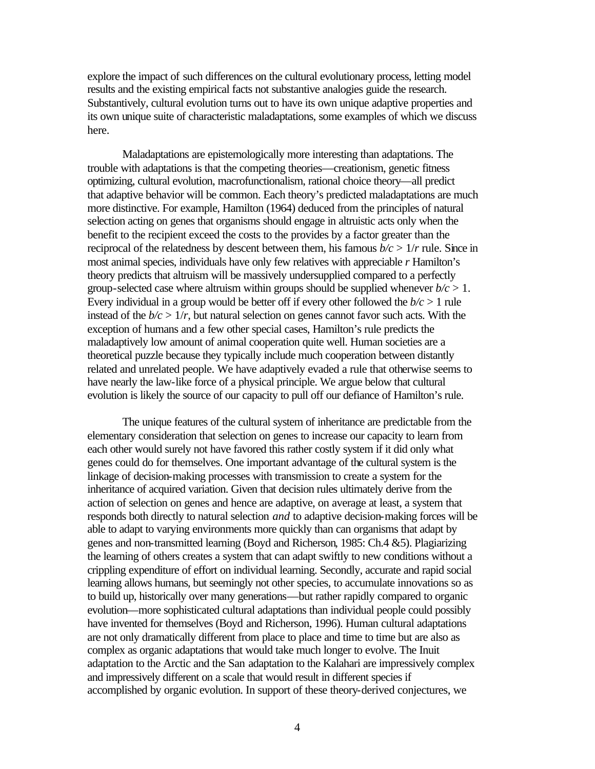explore the impact of such differences on the cultural evolutionary process, letting model results and the existing empirical facts not substantive analogies guide the research. Substantively, cultural evolution turns out to have its own unique adaptive properties and its own unique suite of characteristic maladaptations, some examples of which we discuss here.

Maladaptations are epistemologically more interesting than adaptations. The trouble with adaptations is that the competing theories—creationism, genetic fitness optimizing, cultural evolution, macrofunctionalism, rational choice theory—all predict that adaptive behavior will be common. Each theory's predicted maladaptations are much more distinctive. For example, Hamilton (1964) deduced from the principles of natural selection acting on genes that organisms should engage in altruistic acts only when the benefit to the recipient exceed the costs to the provides by a factor greater than the reciprocal of the relatedness by descent between them, his famous  $b/c > 1/r$  rule. Since in most animal species, individuals have only few relatives with appreciable *r* Hamilton's theory predicts that altruism will be massively undersupplied compared to a perfectly group-selected case where altruism within groups should be supplied whenever  $b/c > 1$ . Every individual in a group would be better off if every other followed the  $b/c > 1$  rule instead of the  $b/c > 1/r$ , but natural selection on genes cannot favor such acts. With the exception of humans and a few other special cases, Hamilton's rule predicts the maladaptively low amount of animal cooperation quite well. Human societies are a theoretical puzzle because they typically include much cooperation between distantly related and unrelated people. We have adaptively evaded a rule that otherwise seems to have nearly the law-like force of a physical principle. We argue below that cultural evolution is likely the source of our capacity to pull off our defiance of Hamilton's rule.

The unique features of the cultural system of inheritance are predictable from the elementary consideration that selection on genes to increase our capacity to learn from each other would surely not have favored this rather costly system if it did only what genes could do for themselves. One important advantage of the cultural system is the linkage of decision-making processes with transmission to create a system for the inheritance of acquired variation. Given that decision rules ultimately derive from the action of selection on genes and hence are adaptive, on average at least, a system that responds both directly to natural selection *and* to adaptive decision-making forces will be able to adapt to varying environments more quickly than can organisms that adapt by genes and non-transmitted learning (Boyd and Richerson, 1985: Ch.4 &5). Plagiarizing the learning of others creates a system that can adapt swiftly to new conditions without a crippling expenditure of effort on individual learning. Secondly, accurate and rapid social learning allows humans, but seemingly not other species, to accumulate innovations so as to build up, historically over many generations—but rather rapidly compared to organic evolution—more sophisticated cultural adaptations than individual people could possibly have invented for themselves (Boyd and Richerson, 1996). Human cultural adaptations are not only dramatically different from place to place and time to time but are also as complex as organic adaptations that would take much longer to evolve. The Inuit adaptation to the Arctic and the San adaptation to the Kalahari are impressively complex and impressively different on a scale that would result in different species if accomplished by organic evolution. In support of these theory-derived conjectures, we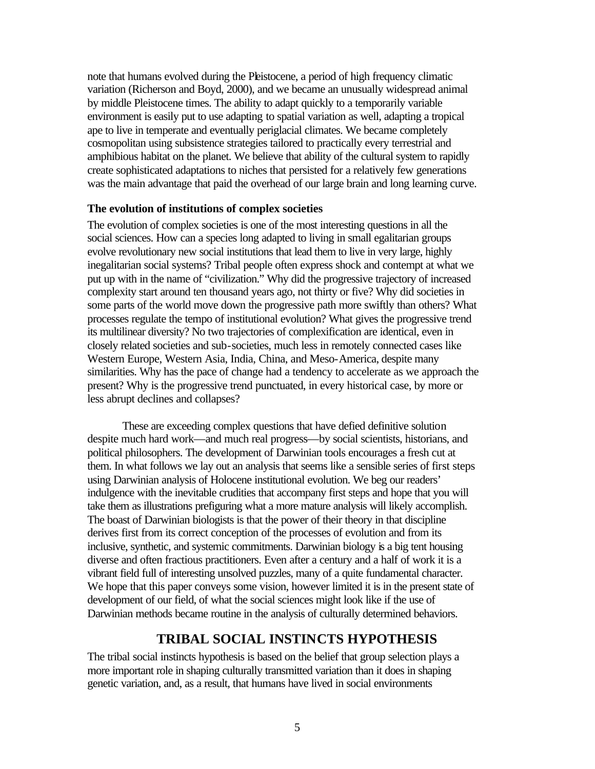note that humans evolved during the Pleistocene, a period of high frequency climatic variation (Richerson and Boyd, 2000), and we became an unusually widespread animal by middle Pleistocene times. The ability to adapt quickly to a temporarily variable environment is easily put to use adapting to spatial variation as well, adapting a tropical ape to live in temperate and eventually periglacial climates. We became completely cosmopolitan using subsistence strategies tailored to practically every terrestrial and amphibious habitat on the planet. We believe that ability of the cultural system to rapidly create sophisticated adaptations to niches that persisted for a relatively few generations was the main advantage that paid the overhead of our large brain and long learning curve.

#### **The evolution of institutions of complex societies**

The evolution of complex societies is one of the most interesting questions in all the social sciences. How can a species long adapted to living in small egalitarian groups evolve revolutionary new social institutions that lead them to live in very large, highly inegalitarian social systems? Tribal people often express shock and contempt at what we put up with in the name of "civilization." Why did the progressive trajectory of increased complexity start around ten thousand years ago, not thirty or five? Why did societies in some parts of the world move down the progressive path more swiftly than others? What processes regulate the tempo of institutional evolution? What gives the progressive trend its multilinear diversity? No two trajectories of complexification are identical, even in closely related societies and sub-societies, much less in remotely connected cases like Western Europe, Western Asia, India, China, and Meso-America, despite many similarities. Why has the pace of change had a tendency to accelerate as we approach the present? Why is the progressive trend punctuated, in every historical case, by more or less abrupt declines and collapses?

These are exceeding complex questions that have defied definitive solution despite much hard work—and much real progress—by social scientists, historians, and political philosophers. The development of Darwinian tools encourages a fresh cut at them. In what follows we lay out an analysis that seems like a sensible series of first steps using Darwinian analysis of Holocene institutional evolution. We beg our readers' indulgence with the inevitable crudities that accompany first steps and hope that you will take them as illustrations prefiguring what a more mature analysis will likely accomplish. The boast of Darwinian biologists is that the power of their theory in that discipline derives first from its correct conception of the processes of evolution and from its inclusive, synthetic, and systemic commitments. Darwinian biology is a big tent housing diverse and often fractious practitioners. Even after a century and a half of work it is a vibrant field full of interesting unsolved puzzles, many of a quite fundamental character. We hope that this paper conveys some vision, however limited it is in the present state of development of our field, of what the social sciences might look like if the use of Darwinian methods became routine in the analysis of culturally determined behaviors.

# **TRIBAL SOCIAL INSTINCTS HYPOTHESIS**

The tribal social instincts hypothesis is based on the belief that group selection plays a more important role in shaping culturally transmitted variation than it does in shaping genetic variation, and, as a result, that humans have lived in social environments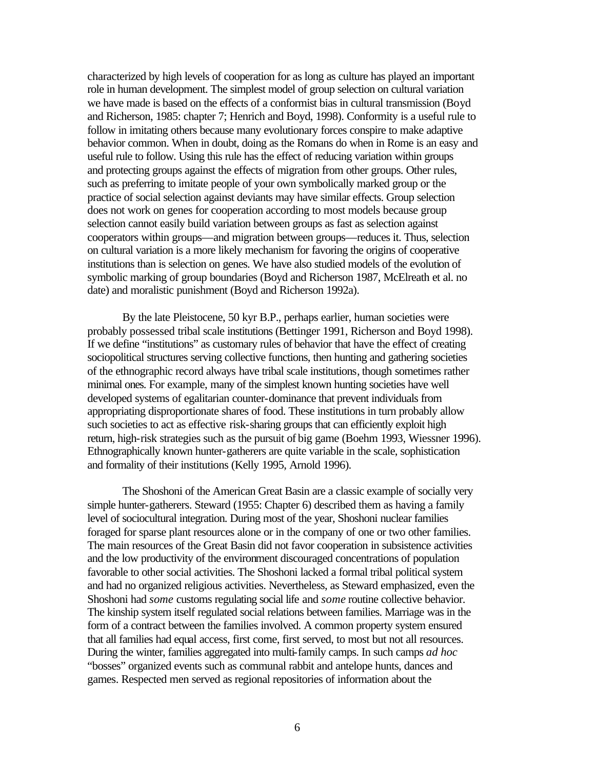characterized by high levels of cooperation for as long as culture has played an important role in human development. The simplest model of group selection on cultural variation we have made is based on the effects of a conformist bias in cultural transmission (Boyd and Richerson, 1985: chapter 7; Henrich and Boyd, 1998). Conformity is a useful rule to follow in imitating others because many evolutionary forces conspire to make adaptive behavior common. When in doubt, doing as the Romans do when in Rome is an easy and useful rule to follow. Using this rule has the effect of reducing variation within groups and protecting groups against the effects of migration from other groups. Other rules, such as preferring to imitate people of your own symbolically marked group or the practice of social selection against deviants may have similar effects. Group selection does not work on genes for cooperation according to most models because group selection cannot easily build variation between groups as fast as selection against cooperators within groups—and migration between groups—reduces it. Thus, selection on cultural variation is a more likely mechanism for favoring the origins of cooperative institutions than is selection on genes. We have also studied models of the evolution of symbolic marking of group boundaries (Boyd and Richerson 1987, McElreath et al. no date) and moralistic punishment (Boyd and Richerson 1992a).

By the late Pleistocene, 50 kyr B.P., perhaps earlier, human societies were probably possessed tribal scale institutions (Bettinger 1991, Richerson and Boyd 1998). If we define "institutions" as customary rules of behavior that have the effect of creating sociopolitical structures serving collective functions, then hunting and gathering societies of the ethnographic record always have tribal scale institutions, though sometimes rather minimal ones. For example, many of the simplest known hunting societies have well developed systems of egalitarian counter-dominance that prevent individuals from appropriating disproportionate shares of food. These institutions in turn probably allow such societies to act as effective risk-sharing groups that can efficiently exploit high return, high-risk strategies such as the pursuit of big game (Boehm 1993, Wiessner 1996). Ethnographically known hunter-gatherers are quite variable in the scale, sophistication and formality of their institutions (Kelly 1995, Arnold 1996).

The Shoshoni of the American Great Basin are a classic example of socially very simple hunter-gatherers. Steward (1955: Chapter 6) described them as having a family level of sociocultural integration. During most of the year, Shoshoni nuclear families foraged for sparse plant resources alone or in the company of one or two other families. The main resources of the Great Basin did not favor cooperation in subsistence activities and the low productivity of the environment discouraged concentrations of population favorable to other social activities. The Shoshoni lacked a formal tribal political system and had no organized religious activities. Nevertheless, as Steward emphasized, even the Shoshoni had *some* customs regulating social life and *some* routine collective behavior. The kinship system itself regulated social relations between families. Marriage was in the form of a contract between the families involved. A common property system ensured that all families had equal access, first come, first served, to most but not all resources. During the winter, families aggregated into multi-family camps. In such camps *ad hoc*  "bosses" organized events such as communal rabbit and antelope hunts, dances and games. Respected men served as regional repositories of information about the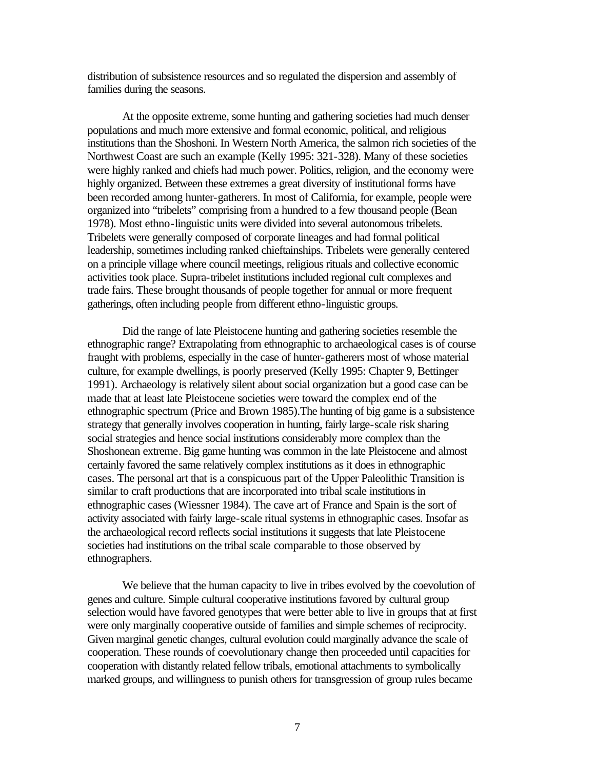distribution of subsistence resources and so regulated the dispersion and assembly of families during the seasons.

At the opposite extreme, some hunting and gathering societies had much denser populations and much more extensive and formal economic, political, and religious institutions than the Shoshoni. In Western North America, the salmon rich societies of the Northwest Coast are such an example (Kelly 1995: 321-328). Many of these societies were highly ranked and chiefs had much power. Politics, religion, and the economy were highly organized. Between these extremes a great diversity of institutional forms have been recorded among hunter-gatherers. In most of California, for example, people were organized into "tribelets" comprising from a hundred to a few thousand people (Bean 1978). Most ethno-linguistic units were divided into several autonomous tribelets. Tribelets were generally composed of corporate lineages and had formal political leadership, sometimes including ranked chieftainships. Tribelets were generally centered on a principle village where council meetings, religious rituals and collective economic activities took place. Supra-tribelet institutions included regional cult complexes and trade fairs. These brought thousands of people together for annual or more frequent gatherings, often including people from different ethno-linguistic groups.

Did the range of late Pleistocene hunting and gathering societies resemble the ethnographic range? Extrapolating from ethnographic to archaeological cases is of course fraught with problems, especially in the case of hunter-gatherers most of whose material culture, for example dwellings, is poorly preserved (Kelly 1995: Chapter 9, Bettinger 1991). Archaeology is relatively silent about social organization but a good case can be made that at least late Pleistocene societies were toward the complex end of the ethnographic spectrum (Price and Brown 1985).The hunting of big game is a subsistence strategy that generally involves cooperation in hunting, fairly large-scale risk sharing social strategies and hence social institutions considerably more complex than the Shoshonean extreme. Big game hunting was common in the late Pleistocene and almost certainly favored the same relatively complex institutions as it does in ethnographic cases. The personal art that is a conspicuous part of the Upper Paleolithic Transition is similar to craft productions that are incorporated into tribal scale institutions in ethnographic cases (Wiessner 1984). The cave art of France and Spain is the sort of activity associated with fairly large-scale ritual systems in ethnographic cases. Insofar as the archaeological record reflects social institutions it suggests that late Pleistocene societies had institutions on the tribal scale comparable to those observed by ethnographers.

We believe that the human capacity to live in tribes evolved by the coevolution of genes and culture. Simple cultural cooperative institutions favored by cultural group selection would have favored genotypes that were better able to live in groups that at first were only marginally cooperative outside of families and simple schemes of reciprocity. Given marginal genetic changes, cultural evolution could marginally advance the scale of cooperation. These rounds of coevolutionary change then proceeded until capacities for cooperation with distantly related fellow tribals, emotional attachments to symbolically marked groups, and willingness to punish others for transgression of group rules became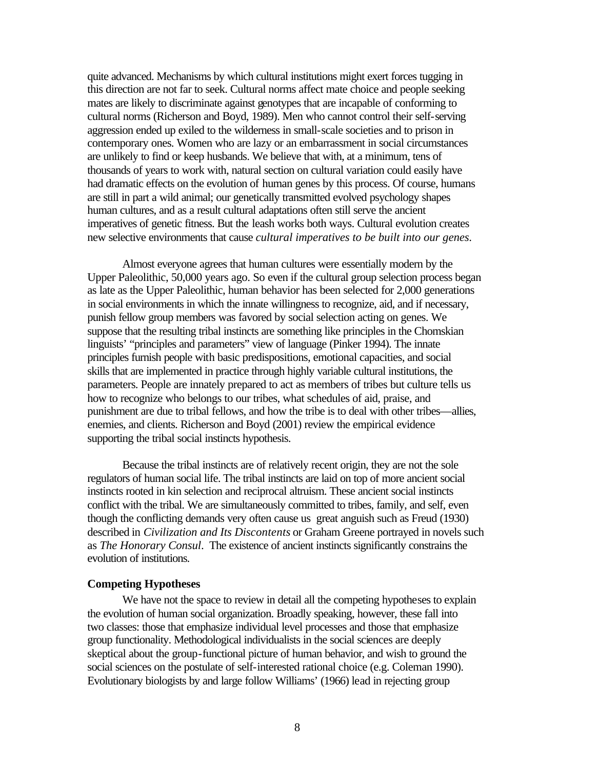quite advanced. Mechanisms by which cultural institutions might exert forces tugging in this direction are not far to seek. Cultural norms affect mate choice and people seeking mates are likely to discriminate against genotypes that are incapable of conforming to cultural norms (Richerson and Boyd, 1989). Men who cannot control their self-serving aggression ended up exiled to the wilderness in small-scale societies and to prison in contemporary ones. Women who are lazy or an embarrassment in social circumstances are unlikely to find or keep husbands. We believe that with, at a minimum, tens of thousands of years to work with, natural section on cultural variation could easily have had dramatic effects on the evolution of human genes by this process. Of course, humans are still in part a wild animal; our genetically transmitted evolved psychology shapes human cultures, and as a result cultural adaptations often still serve the ancient imperatives of genetic fitness. But the leash works both ways. Cultural evolution creates new selective environments that cause *cultural imperatives to be built into our genes.*

Almost everyone agrees that human cultures were essentially modern by the Upper Paleolithic, 50,000 years ago. So even if the cultural group selection process began as late as the Upper Paleolithic, human behavior has been selected for 2,000 generations in social environments in which the innate willingness to recognize, aid, and if necessary, punish fellow group members was favored by social selection acting on genes. We suppose that the resulting tribal instincts are something like principles in the Chomskian linguists' "principles and parameters" view of language (Pinker 1994). The innate principles furnish people with basic predispositions, emotional capacities, and social skills that are implemented in practice through highly variable cultural institutions, the parameters. People are innately prepared to act as members of tribes but culture tells us how to recognize who belongs to our tribes, what schedules of aid, praise, and punishment are due to tribal fellows, and how the tribe is to deal with other tribes—allies, enemies, and clients. Richerson and Boyd (2001) review the empirical evidence supporting the tribal social instincts hypothesis.

Because the tribal instincts are of relatively recent origin, they are not the sole regulators of human social life. The tribal instincts are laid on top of more ancient social instincts rooted in kin selection and reciprocal altruism. These ancient social instincts conflict with the tribal. We are simultaneously committed to tribes, family, and self, even though the conflicting demands very often cause us great anguish such as Freud (1930) described in *Civilization and Its Discontents* or Graham Greene portrayed in novels such as *The Honorary Consul*. The existence of ancient instincts significantly constrains the evolution of institutions.

#### **Competing Hypotheses**

We have not the space to review in detail all the competing hypotheses to explain the evolution of human social organization. Broadly speaking, however, these fall into two classes: those that emphasize individual level processes and those that emphasize group functionality. Methodological individualists in the social sciences are deeply skeptical about the group-functional picture of human behavior, and wish to ground the social sciences on the postulate of self-interested rational choice (e.g. Coleman 1990). Evolutionary biologists by and large follow Williams' (1966) lead in rejecting group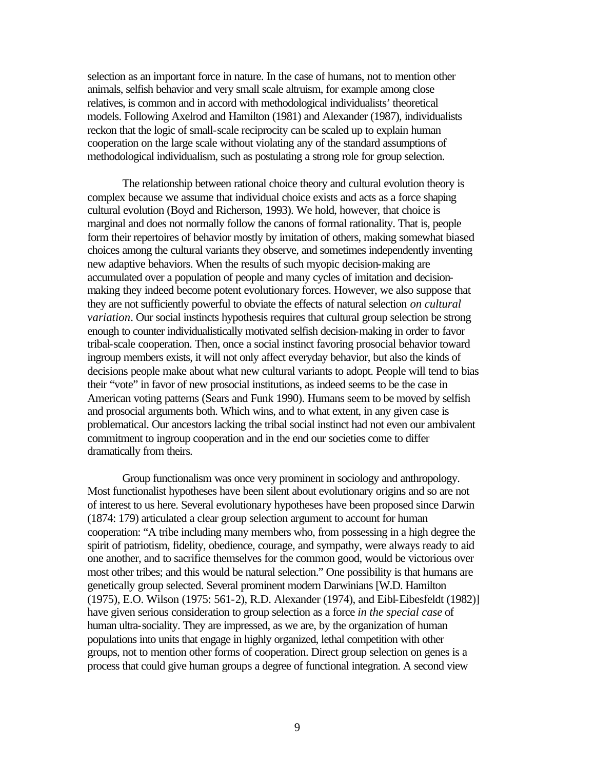selection as an important force in nature. In the case of humans, not to mention other animals, selfish behavior and very small scale altruism, for example among close relatives, is common and in accord with methodological individualists' theoretical models. Following Axelrod and Hamilton (1981) and Alexander (1987), individualists reckon that the logic of small-scale reciprocity can be scaled up to explain human cooperation on the large scale without violating any of the standard assumptions of methodological individualism, such as postulating a strong role for group selection.

The relationship between rational choice theory and cultural evolution theory is complex because we assume that individual choice exists and acts as a force shaping cultural evolution (Boyd and Richerson, 1993). We hold, however, that choice is marginal and does not normally follow the canons of formal rationality. That is, people form their repertoires of behavior mostly by imitation of others, making somewhat biased choices among the cultural variants they observe, and sometimes independently inventing new adaptive behaviors. When the results of such myopic decision-making are accumulated over a population of people and many cycles of imitation and decisionmaking they indeed become potent evolutionary forces. However, we also suppose that they are not sufficiently powerful to obviate the effects of natural selection *on cultural variation*. Our social instincts hypothesis requires that cultural group selection be strong enough to counter individualistically motivated selfish decision-making in order to favor tribal-scale cooperation. Then, once a social instinct favoring prosocial behavior toward ingroup members exists, it will not only affect everyday behavior, but also the kinds of decisions people make about what new cultural variants to adopt. People will tend to bias their "vote" in favor of new prosocial institutions, as indeed seems to be the case in American voting patterns (Sears and Funk 1990). Humans seem to be moved by selfish and prosocial arguments both. Which wins, and to what extent, in any given case is problematical. Our ancestors lacking the tribal social instinct had not even our ambivalent commitment to ingroup cooperation and in the end our societies come to differ dramatically from theirs.

Group functionalism was once very prominent in sociology and anthropology. Most functionalist hypotheses have been silent about evolutionary origins and so are not of interest to us here. Several evolutionary hypotheses have been proposed since Darwin (1874: 179) articulated a clear group selection argument to account for human cooperation: "A tribe including many members who, from possessing in a high degree the spirit of patriotism, fidelity, obedience, courage, and sympathy, were always ready to aid one another, and to sacrifice themselves for the common good, would be victorious over most other tribes; and this would be natural selection." One possibility is that humans are genetically group selected. Several prominent modern Darwinians [W.D. Hamilton (1975), E.O. Wilson (1975: 561-2), R.D. Alexander (1974), and Eibl-Eibesfeldt (1982)] have given serious consideration to group selection as a force *in the special case* of human ultra-sociality. They are impressed, as we are, by the organization of human populations into units that engage in highly organized, lethal competition with other groups, not to mention other forms of cooperation. Direct group selection on genes is a process that could give human groups a degree of functional integration. A second view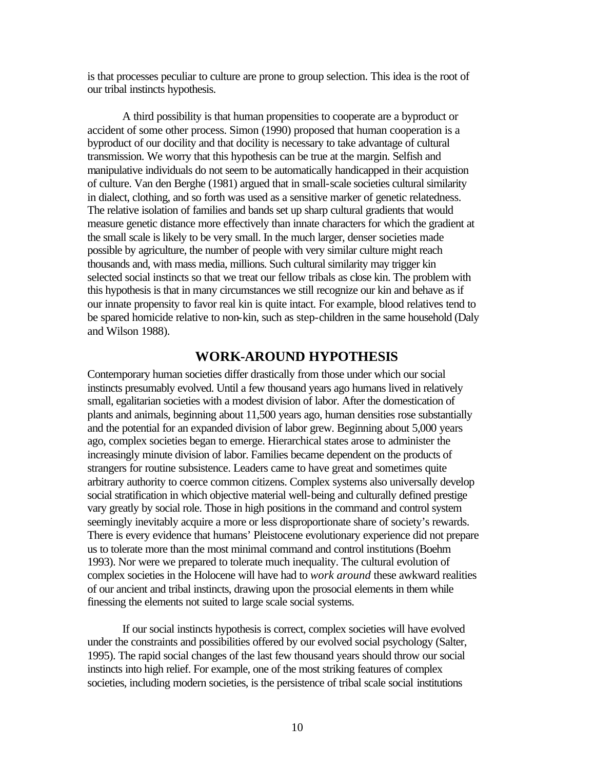is that processes peculiar to culture are prone to group selection. This idea is the root of our tribal instincts hypothesis.

A third possibility is that human propensities to cooperate are a byproduct or accident of some other process. Simon (1990) proposed that human cooperation is a byproduct of our docility and that docility is necessary to take advantage of cultural transmission. We worry that this hypothesis can be true at the margin. Selfish and manipulative individuals do not seem to be automatically handicapped in their acquistion of culture. Van den Berghe (1981) argued that in small-scale societies cultural similarity in dialect, clothing, and so forth was used as a sensitive marker of genetic relatedness. The relative isolation of families and bands set up sharp cultural gradients that would measure genetic distance more effectively than innate characters for which the gradient at the small scale is likely to be very small. In the much larger, denser societies made possible by agriculture, the number of people with very similar culture might reach thousands and, with mass media, millions. Such cultural similarity may trigger kin selected social instincts so that we treat our fellow tribals as close kin. The problem with this hypothesis is that in many circumstances we still recognize our kin and behave as if our innate propensity to favor real kin is quite intact. For example, blood relatives tend to be spared homicide relative to non-kin, such as step-children in the same household (Daly and Wilson 1988).

## **WORK-AROUND HYPOTHESIS**

Contemporary human societies differ drastically from those under which our social instincts presumably evolved. Until a few thousand years ago humans lived in relatively small, egalitarian societies with a modest division of labor. After the domestication of plants and animals, beginning about 11,500 years ago, human densities rose substantially and the potential for an expanded division of labor grew. Beginning about 5,000 years ago, complex societies began to emerge. Hierarchical states arose to administer the increasingly minute division of labor. Families became dependent on the products of strangers for routine subsistence. Leaders came to have great and sometimes quite arbitrary authority to coerce common citizens. Complex systems also universally develop social stratification in which objective material well-being and culturally defined prestige vary greatly by social role. Those in high positions in the command and control system seemingly inevitably acquire a more or less disproportionate share of society's rewards. There is every evidence that humans' Pleistocene evolutionary experience did not prepare us to tolerate more than the most minimal command and control institutions (Boehm 1993). Nor were we prepared to tolerate much inequality. The cultural evolution of complex societies in the Holocene will have had to *work around* these awkward realities of our ancient and tribal instincts, drawing upon the prosocial elements in them while finessing the elements not suited to large scale social systems.

If our social instincts hypothesis is correct, complex societies will have evolved under the constraints and possibilities offered by our evolved social psychology (Salter, 1995). The rapid social changes of the last few thousand years should throw our social instincts into high relief. For example, one of the most striking features of complex societies, including modern societies, is the persistence of tribal scale social institutions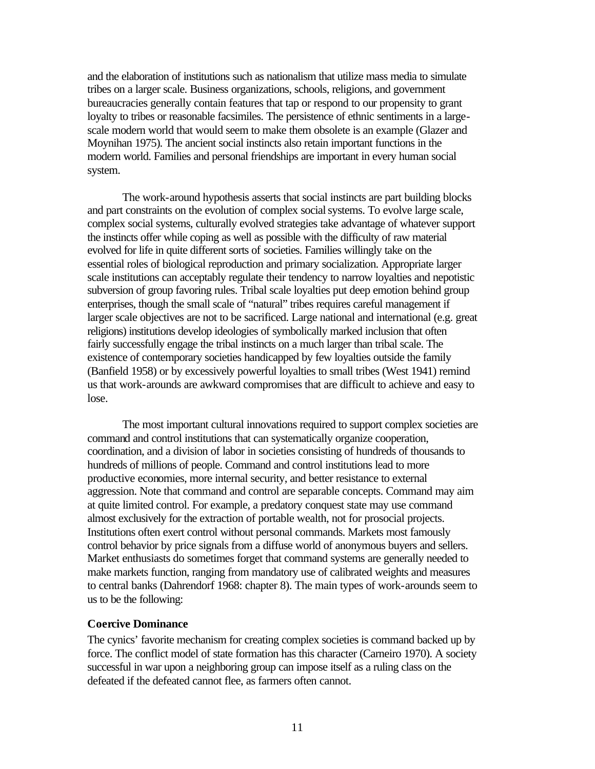and the elaboration of institutions such as nationalism that utilize mass media to simulate tribes on a larger scale. Business organizations, schools, religions, and government bureaucracies generally contain features that tap or respond to our propensity to grant loyalty to tribes or reasonable facsimiles. The persistence of ethnic sentiments in a largescale modern world that would seem to make them obsolete is an example (Glazer and Moynihan 1975). The ancient social instincts also retain important functions in the modern world. Families and personal friendships are important in every human social system.

The work-around hypothesis asserts that social instincts are part building blocks and part constraints on the evolution of complex social systems. To evolve large scale, complex social systems, culturally evolved strategies take advantage of whatever support the instincts offer while coping as well as possible with the difficulty of raw material evolved for life in quite different sorts of societies. Families willingly take on the essential roles of biological reproduction and primary socialization. Appropriate larger scale institutions can acceptably regulate their tendency to narrow loyalties and nepotistic subversion of group favoring rules. Tribal scale loyalties put deep emotion behind group enterprises, though the small scale of "natural" tribes requires careful management if larger scale objectives are not to be sacrificed. Large national and international (e.g. great religions) institutions develop ideologies of symbolically marked inclusion that often fairly successfully engage the tribal instincts on a much larger than tribal scale. The existence of contemporary societies handicapped by few loyalties outside the family (Banfield 1958) or by excessively powerful loyalties to small tribes (West 1941) remind us that work-arounds are awkward compromises that are difficult to achieve and easy to lose.

The most important cultural innovations required to support complex societies are command and control institutions that can systematically organize cooperation, coordination, and a division of labor in societies consisting of hundreds of thousands to hundreds of millions of people. Command and control institutions lead to more productive economies, more internal security, and better resistance to external aggression. Note that command and control are separable concepts. Command may aim at quite limited control. For example, a predatory conquest state may use command almost exclusively for the extraction of portable wealth, not for prosocial projects. Institutions often exert control without personal commands. Markets most famously control behavior by price signals from a diffuse world of anonymous buyers and sellers. Market enthusiasts do sometimes forget that command systems are generally needed to make markets function, ranging from mandatory use of calibrated weights and measures to central banks (Dahrendorf 1968: chapter 8). The main types of work-arounds seem to us to be the following:

### **Coercive Dominance**

The cynics' favorite mechanism for creating complex societies is command backed up by force. The conflict model of state formation has this character (Carneiro 1970). A society successful in war upon a neighboring group can impose itself as a ruling class on the defeated if the defeated cannot flee, as farmers often cannot.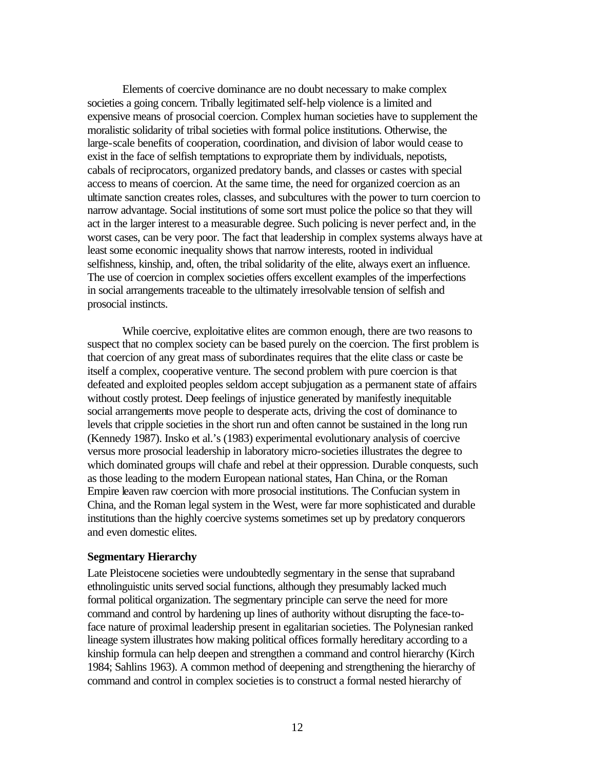Elements of coercive dominance are no doubt necessary to make complex societies a going concern. Tribally legitimated self-help violence is a limited and expensive means of prosocial coercion. Complex human societies have to supplement the moralistic solidarity of tribal societies with formal police institutions. Otherwise, the large-scale benefits of cooperation, coordination, and division of labor would cease to exist in the face of selfish temptations to expropriate them by individuals, nepotists, cabals of reciprocators, organized predatory bands, and classes or castes with special access to means of coercion. At the same time, the need for organized coercion as an ultimate sanction creates roles, classes, and subcultures with the power to turn coercion to narrow advantage. Social institutions of some sort must police the police so that they will act in the larger interest to a measurable degree. Such policing is never perfect and, in the worst cases, can be very poor. The fact that leadership in complex systems always have at least some economic inequality shows that narrow interests, rooted in individual selfishness, kinship, and, often, the tribal solidarity of the elite, always exert an influence. The use of coercion in complex societies offers excellent examples of the imperfections in social arrangements traceable to the ultimately irresolvable tension of selfish and prosocial instincts.

While coercive, exploitative elites are common enough, there are two reasons to suspect that no complex society can be based purely on the coercion. The first problem is that coercion of any great mass of subordinates requires that the elite class or caste be itself a complex, cooperative venture. The second problem with pure coercion is that defeated and exploited peoples seldom accept subjugation as a permanent state of affairs without costly protest. Deep feelings of injustice generated by manifestly inequitable social arrangements move people to desperate acts, driving the cost of dominance to levels that cripple societies in the short run and often cannot be sustained in the long run (Kennedy 1987). Insko et al.'s (1983) experimental evolutionary analysis of coercive versus more prosocial leadership in laboratory micro-societies illustrates the degree to which dominated groups will chafe and rebel at their oppression. Durable conquests, such as those leading to the modern European national states, Han China, or the Roman Empire leaven raw coercion with more prosocial institutions. The Confucian system in China, and the Roman legal system in the West, were far more sophisticated and durable institutions than the highly coercive systems sometimes set up by predatory conquerors and even domestic elites.

### **Segmentary Hierarchy**

Late Pleistocene societies were undoubtedly segmentary in the sense that supraband ethnolinguistic units served social functions, although they presumably lacked much formal political organization. The segmentary principle can serve the need for more command and control by hardening up lines of authority without disrupting the face-toface nature of proximal leadership present in egalitarian societies. The Polynesian ranked lineage system illustrates how making political offices formally hereditary according to a kinship formula can help deepen and strengthen a command and control hierarchy (Kirch 1984; Sahlins 1963). A common method of deepening and strengthening the hierarchy of command and control in complex societies is to construct a formal nested hierarchy of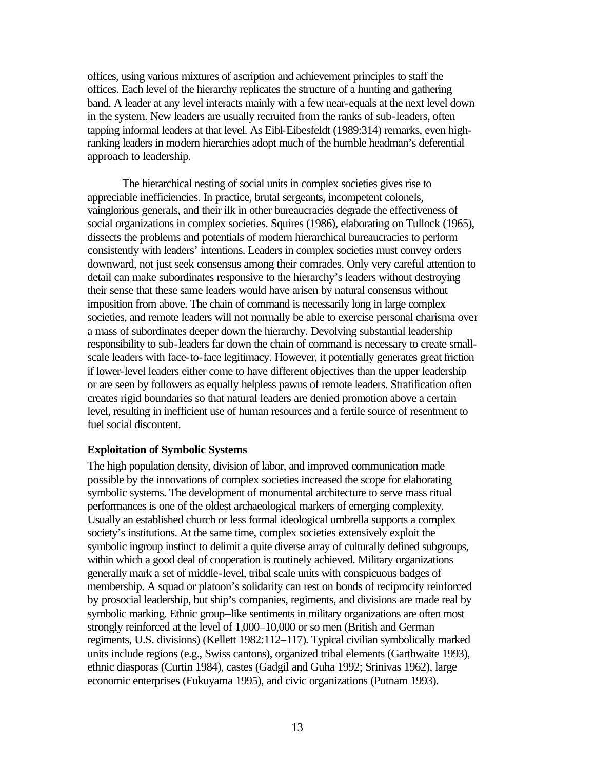offices, using various mixtures of ascription and achievement principles to staff the offices. Each level of the hierarchy replicates the structure of a hunting and gathering band. A leader at any level interacts mainly with a few near-equals at the next level down in the system. New leaders are usually recruited from the ranks of sub-leaders, often tapping informal leaders at that level. As Eibl-Eibesfeldt (1989:314) remarks, even highranking leaders in modern hierarchies adopt much of the humble headman's deferential approach to leadership.

The hierarchical nesting of social units in complex societies gives rise to appreciable inefficiencies. In practice, brutal sergeants, incompetent colonels, vainglorious generals, and their ilk in other bureaucracies degrade the effectiveness of social organizations in complex societies. Squires (1986), elaborating on Tullock (1965), dissects the problems and potentials of modern hierarchical bureaucracies to perform consistently with leaders' intentions. Leaders in complex societies must convey orders downward, not just seek consensus among their comrades. Only very careful attention to detail can make subordinates responsive to the hierarchy's leaders without destroying their sense that these same leaders would have arisen by natural consensus without imposition from above. The chain of command is necessarily long in large complex societies, and remote leaders will not normally be able to exercise personal charisma over a mass of subordinates deeper down the hierarchy. Devolving substantial leadership responsibility to sub-leaders far down the chain of command is necessary to create smallscale leaders with face-to-face legitimacy. However, it potentially generates great friction if lower-level leaders either come to have different objectives than the upper leadership or are seen by followers as equally helpless pawns of remote leaders. Stratification often creates rigid boundaries so that natural leaders are denied promotion above a certain level, resulting in inefficient use of human resources and a fertile source of resentment to fuel social discontent.

### **Exploitation of Symbolic Systems**

The high population density, division of labor, and improved communication made possible by the innovations of complex societies increased the scope for elaborating symbolic systems. The development of monumental architecture to serve mass ritual performances is one of the oldest archaeological markers of emerging complexity. Usually an established church or less formal ideological umbrella supports a complex society's institutions. At the same time, complex societies extensively exploit the symbolic ingroup instinct to delimit a quite diverse array of culturally defined subgroups, within which a good deal of cooperation is routinely achieved. Military organizations generally mark a set of middle-level, tribal scale units with conspicuous badges of membership. A squad or platoon's solidarity can rest on bonds of reciprocity reinforced by prosocial leadership, but ship's companies, regiments, and divisions are made real by symbolic marking. Ethnic group–like sentiments in military organizations are often most strongly reinforced at the level of 1,000–10,000 or so men (British and German regiments, U.S. divisions) (Kellett 1982:112–117). Typical civilian symbolically marked units include regions (e.g., Swiss cantons), organized tribal elements (Garthwaite 1993), ethnic diasporas (Curtin 1984), castes (Gadgil and Guha 1992; Srinivas 1962), large economic enterprises (Fukuyama 1995), and civic organizations (Putnam 1993).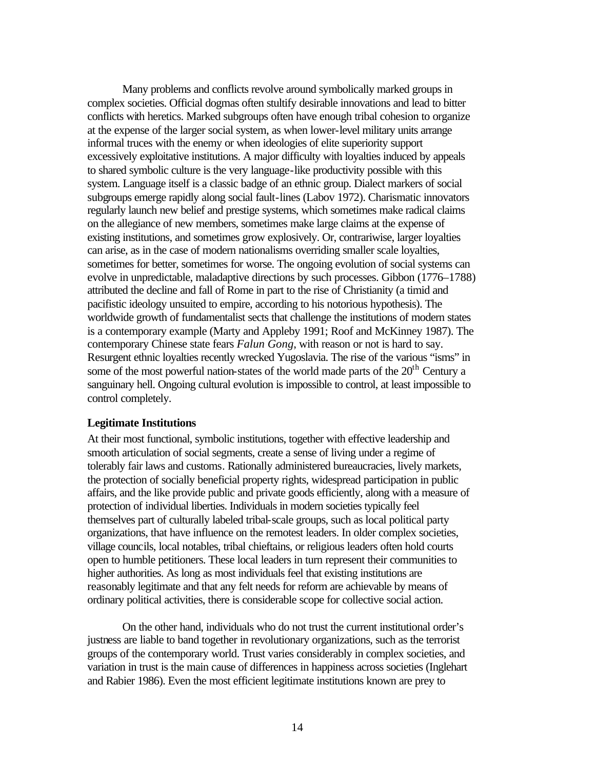Many problems and conflicts revolve around symbolically marked groups in complex societies. Official dogmas often stultify desirable innovations and lead to bitter conflicts with heretics. Marked subgroups often have enough tribal cohesion to organize at the expense of the larger social system, as when lower-level military units arrange informal truces with the enemy or when ideologies of elite superiority support excessively exploitative institutions. A major difficulty with loyalties induced by appeals to shared symbolic culture is the very language-like productivity possible with this system. Language itself is a classic badge of an ethnic group. Dialect markers of social subgroups emerge rapidly along social fault-lines (Labov 1972). Charismatic innovators regularly launch new belief and prestige systems, which sometimes make radical claims on the allegiance of new members, sometimes make large claims at the expense of existing institutions, and sometimes grow explosively. Or, contrariwise, larger loyalties can arise, as in the case of modern nationalisms overriding smaller scale loyalties, sometimes for better, sometimes for worse. The ongoing evolution of social systems can evolve in unpredictable, maladaptive directions by such processes. Gibbon (1776–1788) attributed the decline and fall of Rome in part to the rise of Christianity (a timid and pacifistic ideology unsuited to empire, according to his notorious hypothesis). The worldwide growth of fundamentalist sects that challenge the institutions of modern states is a contemporary example (Marty and Appleby 1991; Roof and McKinney 1987). The contemporary Chinese state fears *Falun Gong*, with reason or not is hard to say. Resurgent ethnic loyalties recently wrecked Yugoslavia. The rise of the various "isms" in some of the most powerful nation-states of the world made parts of the  $20<sup>th</sup>$  Century a sanguinary hell. Ongoing cultural evolution is impossible to control, at least impossible to control completely.

### **Legitimate Institutions**

At their most functional, symbolic institutions, together with effective leadership and smooth articulation of social segments, create a sense of living under a regime of tolerably fair laws and customs. Rationally administered bureaucracies, lively markets, the protection of socially beneficial property rights, widespread participation in public affairs, and the like provide public and private goods efficiently, along with a measure of protection of individual liberties. Individuals in modern societies typically feel themselves part of culturally labeled tribal-scale groups, such as local political party organizations, that have influence on the remotest leaders. In older complex societies, village councils, local notables, tribal chieftains, or religious leaders often hold courts open to humble petitioners. These local leaders in turn represent their communities to higher authorities. As long as most individuals feel that existing institutions are reasonably legitimate and that any felt needs for reform are achievable by means of ordinary political activities, there is considerable scope for collective social action.

On the other hand, individuals who do not trust the current institutional order's justness are liable to band together in revolutionary organizations, such as the terrorist groups of the contemporary world. Trust varies considerably in complex societies, and variation in trust is the main cause of differences in happiness across societies (Inglehart and Rabier 1986). Even the most efficient legitimate institutions known are prey to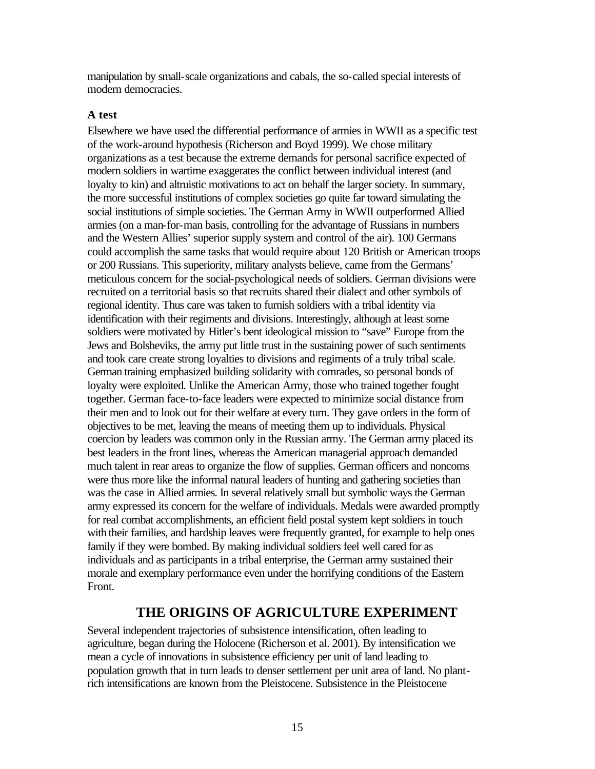manipulation by small-scale organizations and cabals, the so-called special interests of modern democracies.

### **A test**

Elsewhere we have used the differential performance of armies in WWII as a specific test of the work-around hypothesis (Richerson and Boyd 1999). We chose military organizations as a test because the extreme demands for personal sacrifice expected of modern soldiers in wartime exaggerates the conflict between individual interest (and loyalty to kin) and altruistic motivations to act on behalf the larger society. In summary, the more successful institutions of complex societies go quite far toward simulating the social institutions of simple societies. The German Army in WWII outperformed Allied armies (on a man-for-man basis, controlling for the advantage of Russians in numbers and the Western Allies' superior supply system and control of the air). 100 Germans could accomplish the same tasks that would require about 120 British or American troops or 200 Russians. This superiority, military analysts believe, came from the Germans' meticulous concern for the social-psychological needs of soldiers. German divisions were recruited on a territorial basis so that recruits shared their dialect and other symbols of regional identity. Thus care was taken to furnish soldiers with a tribal identity via identification with their regiments and divisions. Interestingly, although at least some soldiers were motivated by Hitler's bent ideological mission to "save" Europe from the Jews and Bolsheviks, the army put little trust in the sustaining power of such sentiments and took care create strong loyalties to divisions and regiments of a truly tribal scale. German training emphasized building solidarity with comrades, so personal bonds of loyalty were exploited. Unlike the American Army, those who trained together fought together. German face-to-face leaders were expected to minimize social distance from their men and to look out for their welfare at every turn. They gave orders in the form of objectives to be met, leaving the means of meeting them up to individuals. Physical coercion by leaders was common only in the Russian army. The German army placed its best leaders in the front lines, whereas the American managerial approach demanded much talent in rear areas to organize the flow of supplies. German officers and noncoms were thus more like the informal natural leaders of hunting and gathering societies than was the case in Allied armies. In several relatively small but symbolic ways the German army expressed its concern for the welfare of individuals. Medals were awarded promptly for real combat accomplishments, an efficient field postal system kept soldiers in touch with their families, and hardship leaves were frequently granted, for example to help ones family if they were bombed. By making individual soldiers feel well cared for as individuals and as participants in a tribal enterprise, the German army sustained their morale and exemplary performance even under the horrifying conditions of the Eastern Front.

## **THE ORIGINS OF AGRICULTURE EXPERIMENT**

Several independent trajectories of subsistence intensification, often leading to agriculture, began during the Holocene (Richerson et al. 2001). By intensification we mean a cycle of innovations in subsistence efficiency per unit of land leading to population growth that in turn leads to denser settlement per unit area of land. No plantrich intensifications are known from the Pleistocene. Subsistence in the Pleistocene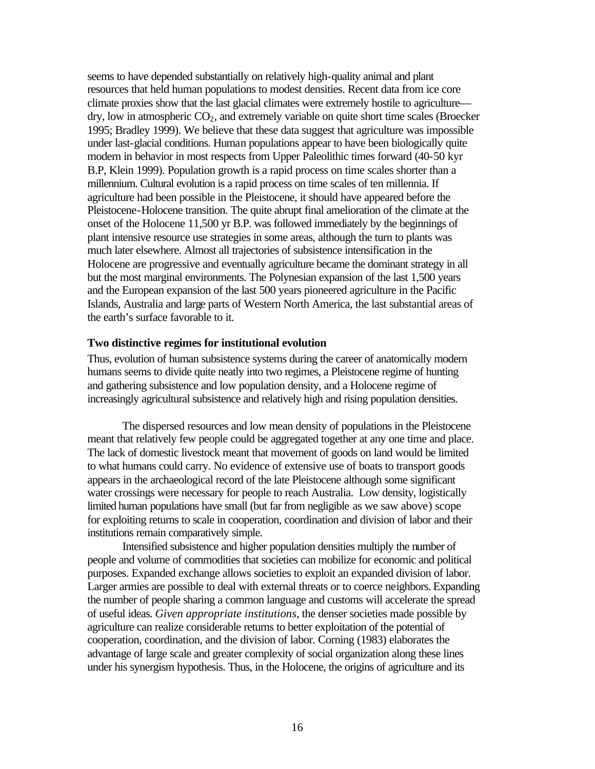seems to have depended substantially on relatively high-quality animal and plant resources that held human populations to modest densities. Recent data from ice core climate proxies show that the last glacial climates were extremely hostile to agriculture—  $\text{dry}, \text{low in atmospheric CO}_2$ , and extremely variable on quite short time scales (Broecker 1995; Bradley 1999). We believe that these data suggest that agriculture was impossible under last-glacial conditions. Human populations appear to have been biologically quite modern in behavior in most respects from Upper Paleolithic times forward (40-50 kyr B.P, Klein 1999). Population growth is a rapid process on time scales shorter than a millennium. Cultural evolution is a rapid process on time scales of ten millennia. If agriculture had been possible in the Pleistocene, it should have appeared before the Pleistocene-Holocene transition. The quite abrupt final amelioration of the climate at the onset of the Holocene 11,500 yr B.P. was followed immediately by the beginnings of plant intensive resource use strategies in some areas, although the turn to plants was much later elsewhere. Almost all trajectories of subsistence intensification in the Holocene are progressive and eventually agriculture became the dominant strategy in all but the most marginal environments. The Polynesian expansion of the last 1,500 years and the European expansion of the last 500 years pioneered agriculture in the Pacific Islands, Australia and large parts of Western North America, the last substantial areas of the earth's surface favorable to it.

#### **Two distinctive regimes for institutional evolution**

Thus, evolution of human subsistence systems during the career of anatomically modern humans seems to divide quite neatly into two regimes, a Pleistocene regime of hunting and gathering subsistence and low population density, and a Holocene regime of increasingly agricultural subsistence and relatively high and rising population densities.

The dispersed resources and low mean density of populations in the Pleistocene meant that relatively few people could be aggregated together at any one time and place. The lack of domestic livestock meant that movement of goods on land would be limited to what humans could carry. No evidence of extensive use of boats to transport goods appears in the archaeological record of the late Pleistocene although some significant water crossings were necessary for people to reach Australia. Low density, logistically limited human populations have small (but far from negligible as we saw above) scope for exploiting returns to scale in cooperation, coordination and division of labor and their institutions remain comparatively simple.

Intensified subsistence and higher population densities multiply the number of people and volume of commodities that societies can mobilize for economic and political purposes. Expanded exchange allows societies to exploit an expanded division of labor. Larger armies are possible to deal with external threats or to coerce neighbors. Expanding the number of people sharing a common language and customs will accelerate the spread of useful ideas. *Given appropriate institutions*, the denser societies made possible by agriculture can realize considerable returns to better exploitation of the potential of cooperation, coordination, and the division of labor. Corning (1983) elaborates the advantage of large scale and greater complexity of social organization along these lines under his synergism hypothesis. Thus, in the Holocene, the origins of agriculture and its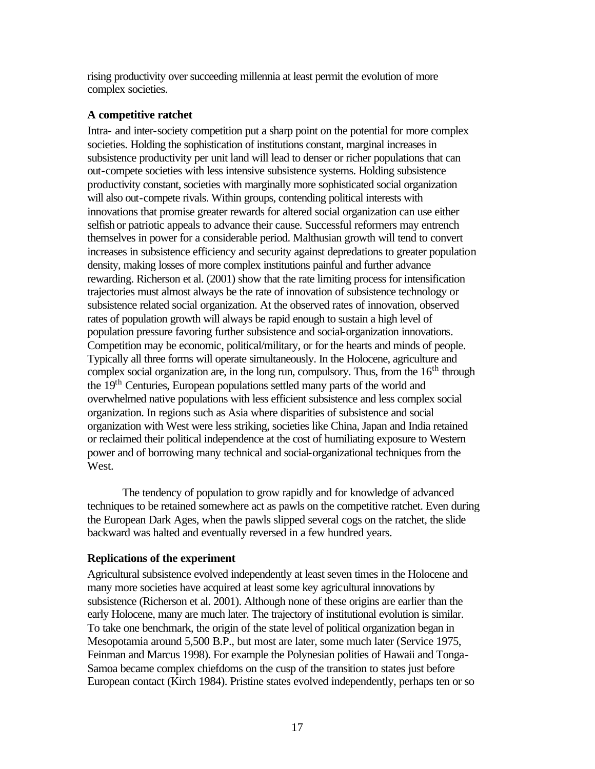rising productivity over succeeding millennia at least permit the evolution of more complex societies.

### **A competitive ratchet**

Intra- and inter-society competition put a sharp point on the potential for more complex societies. Holding the sophistication of institutions constant, marginal increases in subsistence productivity per unit land will lead to denser or richer populations that can out-compete societies with less intensive subsistence systems. Holding subsistence productivity constant, societies with marginally more sophisticated social organization will also out-compete rivals. Within groups, contending political interests with innovations that promise greater rewards for altered social organization can use either selfish or patriotic appeals to advance their cause. Successful reformers may entrench themselves in power for a considerable period. Malthusian growth will tend to convert increases in subsistence efficiency and security against depredations to greater population density, making losses of more complex institutions painful and further advance rewarding. Richerson et al. (2001) show that the rate limiting process for intensification trajectories must almost always be the rate of innovation of subsistence technology or subsistence related social organization. At the observed rates of innovation, observed rates of population growth will always be rapid enough to sustain a high level of population pressure favoring further subsistence and social-organization innovations. Competition may be economic, political/military, or for the hearts and minds of people. Typically all three forms will operate simultaneously. In the Holocene, agriculture and complex social organization are, in the long run, compulsory. Thus, from the  $16<sup>th</sup>$  through the 19<sup>th</sup> Centuries, European populations settled many parts of the world and overwhelmed native populations with less efficient subsistence and less complex social organization. In regions such as Asia where disparities of subsistence and social organization with West were less striking, societies like China, Japan and India retained or reclaimed their political independence at the cost of humiliating exposure to Western power and of borrowing many technical and social-organizational techniques from the West.

The tendency of population to grow rapidly and for knowledge of advanced techniques to be retained somewhere act as pawls on the competitive ratchet. Even during the European Dark Ages, when the pawls slipped several cogs on the ratchet, the slide backward was halted and eventually reversed in a few hundred years.

## **Replications of the experiment**

Agricultural subsistence evolved independently at least seven times in the Holocene and many more societies have acquired at least some key agricultural innovations by subsistence (Richerson et al. 2001). Although none of these origins are earlier than the early Holocene, many are much later. The trajectory of institutional evolution is similar. To take one benchmark, the origin of the state level of political organization began in Mesopotamia around 5,500 B.P., but most are later, some much later (Service 1975, Feinman and Marcus 1998). For example the Polynesian polities of Hawaii and Tonga-Samoa became complex chiefdoms on the cusp of the transition to states just before European contact (Kirch 1984). Pristine states evolved independently, perhaps ten or so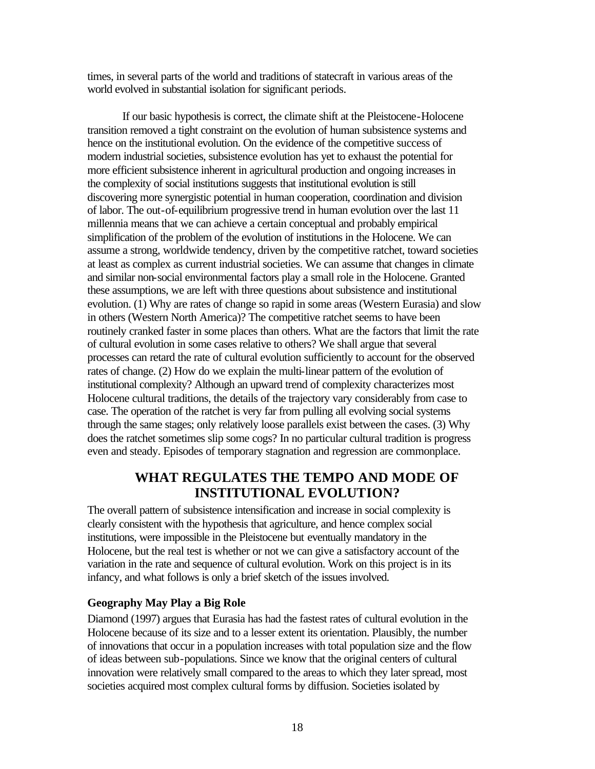times, in several parts of the world and traditions of statecraft in various areas of the world evolved in substantial isolation for significant periods.

If our basic hypothesis is correct, the climate shift at the Pleistocene-Holocene transition removed a tight constraint on the evolution of human subsistence systems and hence on the institutional evolution. On the evidence of the competitive success of modern industrial societies, subsistence evolution has yet to exhaust the potential for more efficient subsistence inherent in agricultural production and ongoing increases in the complexity of social institutions suggests that institutional evolution is still discovering more synergistic potential in human cooperation, coordination and division of labor. The out-of-equilibrium progressive trend in human evolution over the last 11 millennia means that we can achieve a certain conceptual and probably empirical simplification of the problem of the evolution of institutions in the Holocene. We can assume a strong, worldwide tendency, driven by the competitive ratchet, toward societies at least as complex as current industrial societies. We can assume that changes in climate and similar non-social environmental factors play a small role in the Holocene. Granted these assumptions, we are left with three questions about subsistence and institutional evolution. (1) Why are rates of change so rapid in some areas (Western Eurasia) and slow in others (Western North America)? The competitive ratchet seems to have been routinely cranked faster in some places than others. What are the factors that limit the rate of cultural evolution in some cases relative to others? We shall argue that several processes can retard the rate of cultural evolution sufficiently to account for the observed rates of change. (2) How do we explain the multi-linear pattern of the evolution of institutional complexity? Although an upward trend of complexity characterizes most Holocene cultural traditions, the details of the trajectory vary considerably from case to case. The operation of the ratchet is very far from pulling all evolving social systems through the same stages; only relatively loose parallels exist between the cases. (3) Why does the ratchet sometimes slip some cogs? In no particular cultural tradition is progress even and steady. Episodes of temporary stagnation and regression are commonplace.

# **WHAT REGULATES THE TEMPO AND MODE OF INSTITUTIONAL EVOLUTION?**

The overall pattern of subsistence intensification and increase in social complexity is clearly consistent with the hypothesis that agriculture, and hence complex social institutions, were impossible in the Pleistocene but eventually mandatory in the Holocene, but the real test is whether or not we can give a satisfactory account of the variation in the rate and sequence of cultural evolution. Work on this project is in its infancy, and what follows is only a brief sketch of the issues involved.

## **Geography May Play a Big Role**

Diamond (1997) argues that Eurasia has had the fastest rates of cultural evolution in the Holocene because of its size and to a lesser extent its orientation. Plausibly, the number of innovations that occur in a population increases with total population size and the flow of ideas between sub-populations. Since we know that the original centers of cultural innovation were relatively small compared to the areas to which they later spread, most societies acquired most complex cultural forms by diffusion. Societies isolated by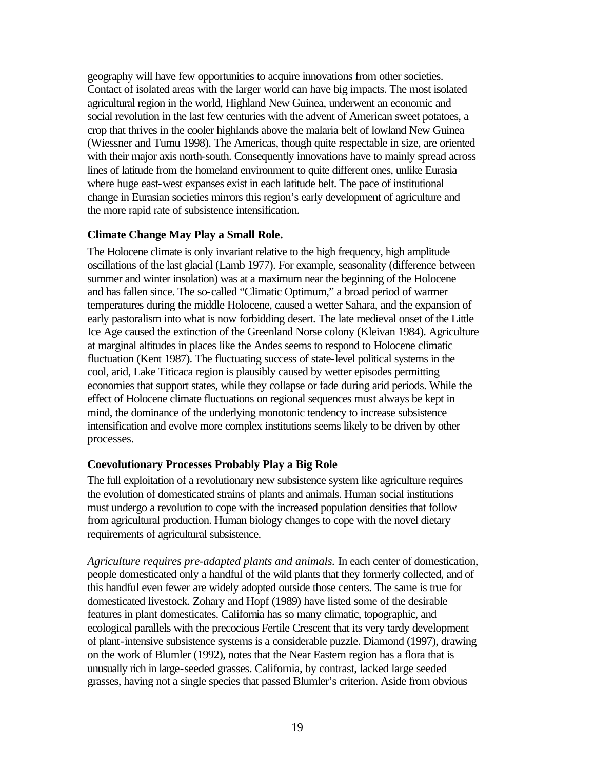geography will have few opportunities to acquire innovations from other societies. Contact of isolated areas with the larger world can have big impacts. The most isolated agricultural region in the world, Highland New Guinea, underwent an economic and social revolution in the last few centuries with the advent of American sweet potatoes, a crop that thrives in the cooler highlands above the malaria belt of lowland New Guinea (Wiessner and Tumu 1998). The Americas, though quite respectable in size, are oriented with their major axis north-south. Consequently innovations have to mainly spread across lines of latitude from the homeland environment to quite different ones, unlike Eurasia where huge east-west expanses exist in each latitude belt. The pace of institutional change in Eurasian societies mirrors this region's early development of agriculture and the more rapid rate of subsistence intensification.

## **Climate Change May Play a Small Role***.*

The Holocene climate is only invariant relative to the high frequency, high amplitude oscillations of the last glacial (Lamb 1977). For example, seasonality (difference between summer and winter insolation) was at a maximum near the beginning of the Holocene and has fallen since. The so-called "Climatic Optimum," a broad period of warmer temperatures during the middle Holocene, caused a wetter Sahara, and the expansion of early pastoralism into what is now forbidding desert. The late medieval onset of the Little Ice Age caused the extinction of the Greenland Norse colony (Kleivan 1984). Agriculture at marginal altitudes in places like the Andes seems to respond to Holocene climatic fluctuation (Kent 1987). The fluctuating success of state-level political systems in the cool, arid, Lake Titicaca region is plausibly caused by wetter episodes permitting economies that support states, while they collapse or fade during arid periods. While the effect of Holocene climate fluctuations on regional sequences must always be kept in mind, the dominance of the underlying monotonic tendency to increase subsistence intensification and evolve more complex institutions seems likely to be driven by other processes.

## **Coevolutionary Processes Probably Play a Big Role**

The full exploitation of a revolutionary new subsistence system like agriculture requires the evolution of domesticated strains of plants and animals. Human social institutions must undergo a revolution to cope with the increased population densities that follow from agricultural production. Human biology changes to cope with the novel dietary requirements of agricultural subsistence.

*Agriculture requires pre-adapted plants and animals.* In each center of domestication, people domesticated only a handful of the wild plants that they formerly collected, and of this handful even fewer are widely adopted outside those centers. The same is true for domesticated livestock. Zohary and Hopf (1989) have listed some of the desirable features in plant domesticates. California has so many climatic, topographic, and ecological parallels with the precocious Fertile Crescent that its very tardy development of plant-intensive subsistence systems is a considerable puzzle. Diamond (1997), drawing on the work of Blumler (1992), notes that the Near Eastern region has a flora that is unusually rich in large-seeded grasses. California, by contrast, lacked large seeded grasses, having not a single species that passed Blumler's criterion. Aside from obvious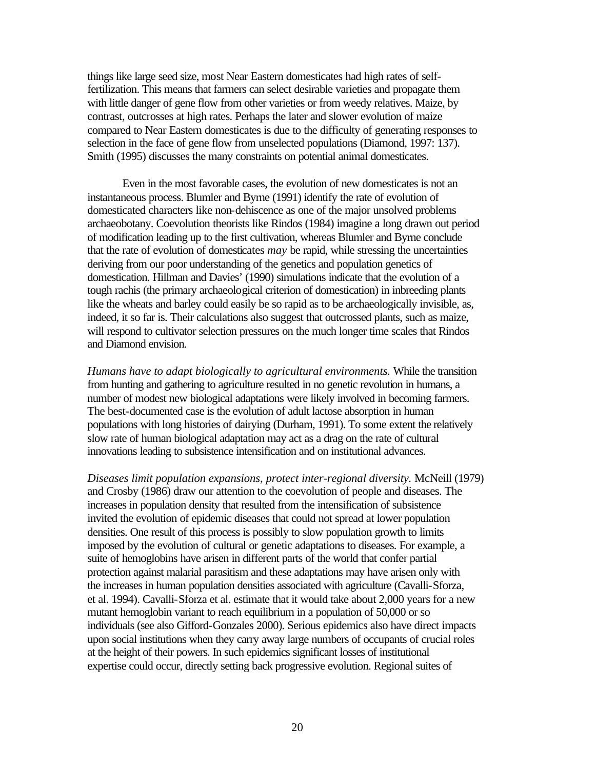things like large seed size, most Near Eastern domesticates had high rates of selffertilization. This means that farmers can select desirable varieties and propagate them with little danger of gene flow from other varieties or from weedy relatives. Maize, by contrast, outcrosses at high rates. Perhaps the later and slower evolution of maize compared to Near Eastern domesticates is due to the difficulty of generating responses to selection in the face of gene flow from unselected populations (Diamond, 1997: 137). Smith (1995) discusses the many constraints on potential animal domesticates.

Even in the most favorable cases, the evolution of new domesticates is not an instantaneous process. Blumler and Byrne (1991) identify the rate of evolution of domesticated characters like non-dehiscence as one of the major unsolved problems archaeobotany. Coevolution theorists like Rindos (1984) imagine a long drawn out period of modification leading up to the first cultivation, whereas Blumler and Byrne conclude that the rate of evolution of domesticates *may* be rapid, while stressing the uncertainties deriving from our poor understanding of the genetics and population genetics of domestication. Hillman and Davies' (1990) simulations indicate that the evolution of a tough rachis (the primary archaeological criterion of domestication) in inbreeding plants like the wheats and barley could easily be so rapid as to be archaeologically invisible, as, indeed, it so far is. Their calculations also suggest that outcrossed plants, such as maize, will respond to cultivator selection pressures on the much longer time scales that Rindos and Diamond envision.

*Humans have to adapt biologically to agricultural environments.* While the transition from hunting and gathering to agriculture resulted in no genetic revolution in humans, a number of modest new biological adaptations were likely involved in becoming farmers. The best-documented case is the evolution of adult lactose absorption in human populations with long histories of dairying (Durham, 1991). To some extent the relatively slow rate of human biological adaptation may act as a drag on the rate of cultural innovations leading to subsistence intensification and on institutional advances.

*Diseases limit population expansions, protect inter-regional diversity.* McNeill (1979) and Crosby (1986) draw our attention to the coevolution of people and diseases. The increases in population density that resulted from the intensification of subsistence invited the evolution of epidemic diseases that could not spread at lower population densities. One result of this process is possibly to slow population growth to limits imposed by the evolution of cultural or genetic adaptations to diseases. For example, a suite of hemoglobins have arisen in different parts of the world that confer partial protection against malarial parasitism and these adaptations may have arisen only with the increases in human population densities associated with agriculture (Cavalli-Sforza, et al. 1994). Cavalli-Sforza et al. estimate that it would take about 2,000 years for a new mutant hemoglobin variant to reach equilibrium in a population of 50,000 or so individuals (see also Gifford-Gonzales 2000). Serious epidemics also have direct impacts upon social institutions when they carry away large numbers of occupants of crucial roles at the height of their powers. In such epidemics significant losses of institutional expertise could occur, directly setting back progressive evolution. Regional suites of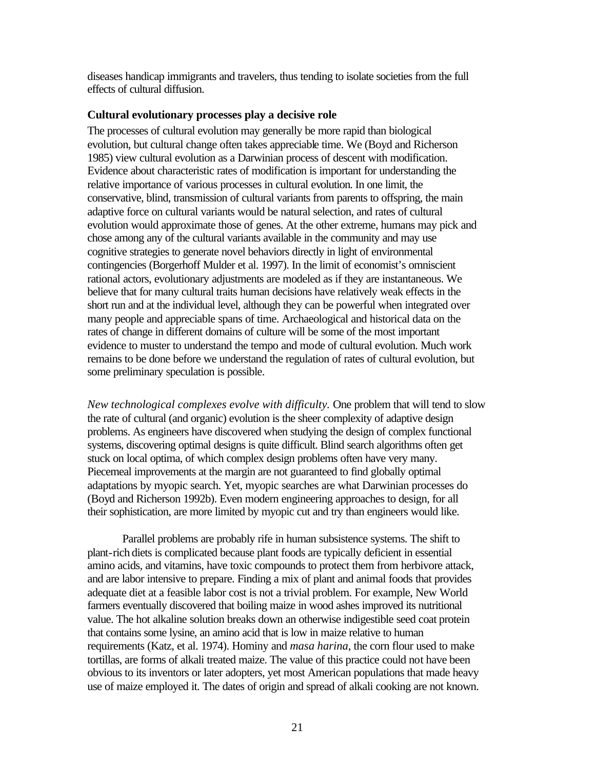diseases handicap immigrants and travelers, thus tending to isolate societies from the full effects of cultural diffusion.

### **Cultural evolutionary processes play a decisive role**

The processes of cultural evolution may generally be more rapid than biological evolution, but cultural change often takes appreciable time. We (Boyd and Richerson 1985) view cultural evolution as a Darwinian process of descent with modification. Evidence about characteristic rates of modification is important for understanding the relative importance of various processes in cultural evolution. In one limit, the conservative, blind, transmission of cultural variants from parents to offspring, the main adaptive force on cultural variants would be natural selection, and rates of cultural evolution would approximate those of genes. At the other extreme, humans may pick and chose among any of the cultural variants available in the community and may use cognitive strategies to generate novel behaviors directly in light of environmental contingencies (Borgerhoff Mulder et al. 1997). In the limit of economist's omniscient rational actors, evolutionary adjustments are modeled as if they are instantaneous. We believe that for many cultural traits human decisions have relatively weak effects in the short run and at the individual level, although they can be powerful when integrated over many people and appreciable spans of time. Archaeological and historical data on the rates of change in different domains of culture will be some of the most important evidence to muster to understand the tempo and mode of cultural evolution. Much work remains to be done before we understand the regulation of rates of cultural evolution, but some preliminary speculation is possible.

*New technological complexes evolve with difficulty.* One problem that will tend to slow the rate of cultural (and organic) evolution is the sheer complexity of adaptive design problems. As engineers have discovered when studying the design of complex functional systems, discovering optimal designs is quite difficult. Blind search algorithms often get stuck on local optima, of which complex design problems often have very many. Piecemeal improvements at the margin are not guaranteed to find globally optimal adaptations by myopic search. Yet, myopic searches are what Darwinian processes do (Boyd and Richerson 1992b). Even modern engineering approaches to design, for all their sophistication, are more limited by myopic cut and try than engineers would like.

Parallel problems are probably rife in human subsistence systems. The shift to plant-rich diets is complicated because plant foods are typically deficient in essential amino acids, and vitamins, have toxic compounds to protect them from herbivore attack, and are labor intensive to prepare. Finding a mix of plant and animal foods that provides adequate diet at a feasible labor cost is not a trivial problem. For example, New World farmers eventually discovered that boiling maize in wood ashes improved its nutritional value. The hot alkaline solution breaks down an otherwise indigestible seed coat protein that contains some lysine, an amino acid that is low in maize relative to human requirements (Katz, et al. 1974). Hominy and *masa harina*, the corn flour used to make tortillas, are forms of alkali treated maize. The value of this practice could not have been obvious to its inventors or later adopters, yet most American populations that made heavy use of maize employed it. The dates of origin and spread of alkali cooking are not known.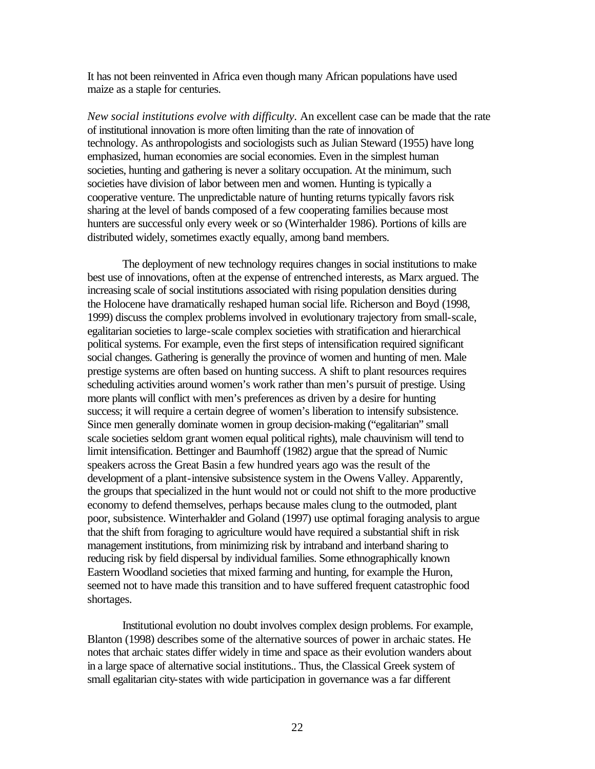It has not been reinvented in Africa even though many African populations have used maize as a staple for centuries.

*New social institutions evolve with difficulty.* An excellent case can be made that the rate of institutional innovation is more often limiting than the rate of innovation of technology. As anthropologists and sociologists such as Julian Steward (1955) have long emphasized, human economies are social economies. Even in the simplest human societies, hunting and gathering is never a solitary occupation. At the minimum, such societies have division of labor between men and women. Hunting is typically a cooperative venture. The unpredictable nature of hunting returns typically favors risk sharing at the level of bands composed of a few cooperating families because most hunters are successful only every week or so (Winterhalder 1986). Portions of kills are distributed widely, sometimes exactly equally, among band members.

The deployment of new technology requires changes in social institutions to make best use of innovations, often at the expense of entrenched interests, as Marx argued. The increasing scale of social institutions associated with rising population densities during the Holocene have dramatically reshaped human social life. Richerson and Boyd (1998, 1999) discuss the complex problems involved in evolutionary trajectory from small-scale, egalitarian societies to large-scale complex societies with stratification and hierarchical political systems. For example, even the first steps of intensification required significant social changes. Gathering is generally the province of women and hunting of men. Male prestige systems are often based on hunting success. A shift to plant resources requires scheduling activities around women's work rather than men's pursuit of prestige. Using more plants will conflict with men's preferences as driven by a desire for hunting success; it will require a certain degree of women's liberation to intensify subsistence. Since men generally dominate women in group decision-making ("egalitarian" small scale societies seldom grant women equal political rights), male chauvinism will tend to limit intensification. Bettinger and Baumhoff (1982) argue that the spread of Numic speakers across the Great Basin a few hundred years ago was the result of the development of a plant-intensive subsistence system in the Owens Valley. Apparently, the groups that specialized in the hunt would not or could not shift to the more productive economy to defend themselves, perhaps because males clung to the outmoded, plant poor, subsistence. Winterhalder and Goland (1997) use optimal foraging analysis to argue that the shift from foraging to agriculture would have required a substantial shift in risk management institutions, from minimizing risk by intraband and interband sharing to reducing risk by field dispersal by individual families. Some ethnographically known Eastern Woodland societies that mixed farming and hunting, for example the Huron, seemed not to have made this transition and to have suffered frequent catastrophic food shortages.

Institutional evolution no doubt involves complex design problems. For example, Blanton (1998) describes some of the alternative sources of power in archaic states. He notes that archaic states differ widely in time and space as their evolution wanders about in a large space of alternative social institutions.. Thus, the Classical Greek system of small egalitarian city-states with wide participation in governance was a far different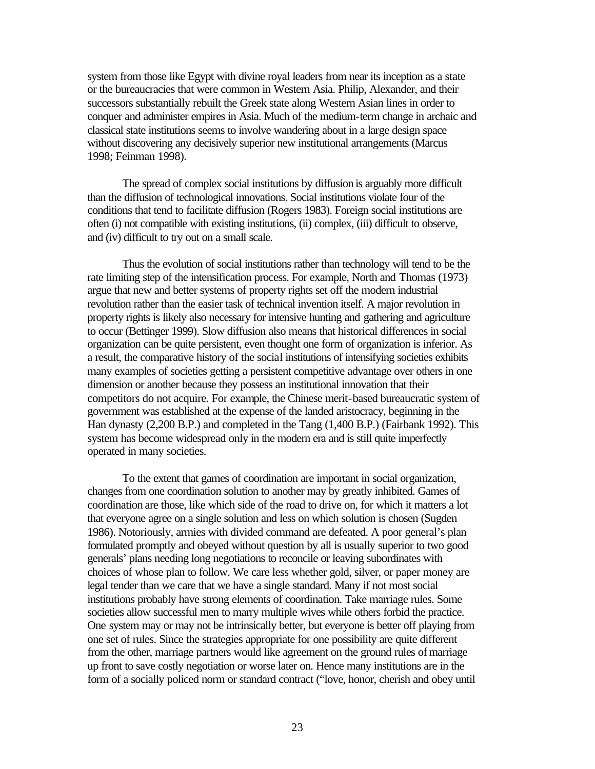system from those like Egypt with divine royal leaders from near its inception as a state or the bureaucracies that were common in Western Asia. Philip, Alexander, and their successors substantially rebuilt the Greek state along Western Asian lines in order to conquer and administer empires in Asia. Much of the medium-term change in archaic and classical state institutions seems to involve wandering about in a large design space without discovering any decisively superior new institutional arrangements (Marcus 1998; Feinman 1998).

The spread of complex social institutions by diffusion is arguably more difficult than the diffusion of technological innovations. Social institutions violate four of the conditions that tend to facilitate diffusion (Rogers 1983). Foreign social institutions are often (i) not compatible with existing institutions, (ii) complex, (iii) difficult to observe, and (iv) difficult to try out on a small scale.

Thus the evolution of social institutions rather than technology will tend to be the rate limiting step of the intensification process. For example, North and Thomas (1973) argue that new and better systems of property rights set off the modern industrial revolution rather than the easier task of technical invention itself. A major revolution in property rights is likely also necessary for intensive hunting and gathering and agriculture to occur (Bettinger 1999). Slow diffusion also means that historical differences in social organization can be quite persistent, even thought one form of organization is inferior. As a result, the comparative history of the social institutions of intensifying societies exhibits many examples of societies getting a persistent competitive advantage over others in one dimension or another because they possess an institutional innovation that their competitors do not acquire. For example, the Chinese merit-based bureaucratic system of government was established at the expense of the landed aristocracy, beginning in the Han dynasty (2,200 B.P.) and completed in the Tang (1,400 B.P.) (Fairbank 1992). This system has become widespread only in the modern era and is still quite imperfectly operated in many societies.

To the extent that games of coordination are important in social organization, changes from one coordination solution to another may by greatly inhibited. Games of coordination are those, like which side of the road to drive on, for which it matters a lot that everyone agree on a single solution and less on which solution is chosen (Sugden 1986). Notoriously, armies with divided command are defeated. A poor general's plan formulated promptly and obeyed without question by all is usually superior to two good generals' plans needing long negotiations to reconcile or leaving subordinates with choices of whose plan to follow. We care less whether gold, silver, or paper money are legal tender than we care that we have a single standard. Many if not most social institutions probably have strong elements of coordination. Take marriage rules. Some societies allow successful men to marry multiple wives while others forbid the practice. One system may or may not be intrinsically better, but everyone is better off playing from one set of rules. Since the strategies appropriate for one possibility are quite different from the other, marriage partners would like agreement on the ground rules of marriage up front to save costly negotiation or worse later on. Hence many institutions are in the form of a socially policed norm or standard contract ("love, honor, cherish and obey until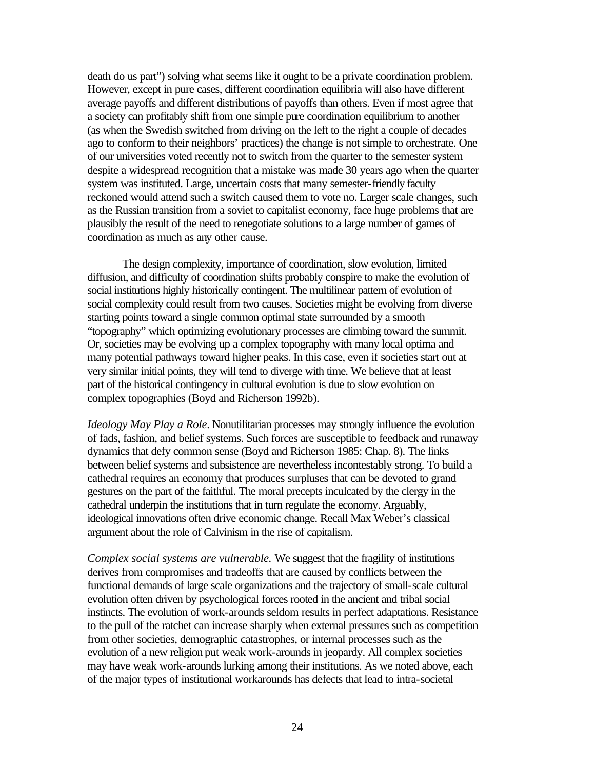death do us part") solving what seems like it ought to be a private coordination problem. However, except in pure cases, different coordination equilibria will also have different average payoffs and different distributions of payoffs than others. Even if most agree that a society can profitably shift from one simple pure coordination equilibrium to another (as when the Swedish switched from driving on the left to the right a couple of decades ago to conform to their neighbors' practices) the change is not simple to orchestrate. One of our universities voted recently not to switch from the quarter to the semester system despite a widespread recognition that a mistake was made 30 years ago when the quarter system was instituted. Large, uncertain costs that many semester-friendly faculty reckoned would attend such a switch caused them to vote no. Larger scale changes, such as the Russian transition from a soviet to capitalist economy, face huge problems that are plausibly the result of the need to renegotiate solutions to a large number of games of coordination as much as any other cause.

The design complexity, importance of coordination, slow evolution, limited diffusion, and difficulty of coordination shifts probably conspire to make the evolution of social institutions highly historically contingent. The multilinear pattern of evolution of social complexity could result from two causes. Societies might be evolving from diverse starting points toward a single common optimal state surrounded by a smooth "topography" which optimizing evolutionary processes are climbing toward the summit. Or, societies may be evolving up a complex topography with many local optima and many potential pathways toward higher peaks. In this case, even if societies start out at very similar initial points, they will tend to diverge with time. We believe that at least part of the historical contingency in cultural evolution is due to slow evolution on complex topographies (Boyd and Richerson 1992b).

*Ideology May Play a Role*. Nonutilitarian processes may strongly influence the evolution of fads, fashion, and belief systems. Such forces are susceptible to feedback and runaway dynamics that defy common sense (Boyd and Richerson 1985: Chap. 8). The links between belief systems and subsistence are nevertheless incontestably strong. To build a cathedral requires an economy that produces surpluses that can be devoted to grand gestures on the part of the faithful. The moral precepts inculcated by the clergy in the cathedral underpin the institutions that in turn regulate the economy. Arguably, ideological innovations often drive economic change. Recall Max Weber's classical argument about the role of Calvinism in the rise of capitalism.

*Complex social systems are vulnerable.* We suggest that the fragility of institutions derives from compromises and tradeoffs that are caused by conflicts between the functional demands of large scale organizations and the trajectory of small-scale cultural evolution often driven by psychological forces rooted in the ancient and tribal social instincts. The evolution of work-arounds seldom results in perfect adaptations. Resistance to the pull of the ratchet can increase sharply when external pressures such as competition from other societies, demographic catastrophes, or internal processes such as the evolution of a new religion put weak work-arounds in jeopardy. All complex societies may have weak work-arounds lurking among their institutions. As we noted above, each of the major types of institutional workarounds has defects that lead to intra-societal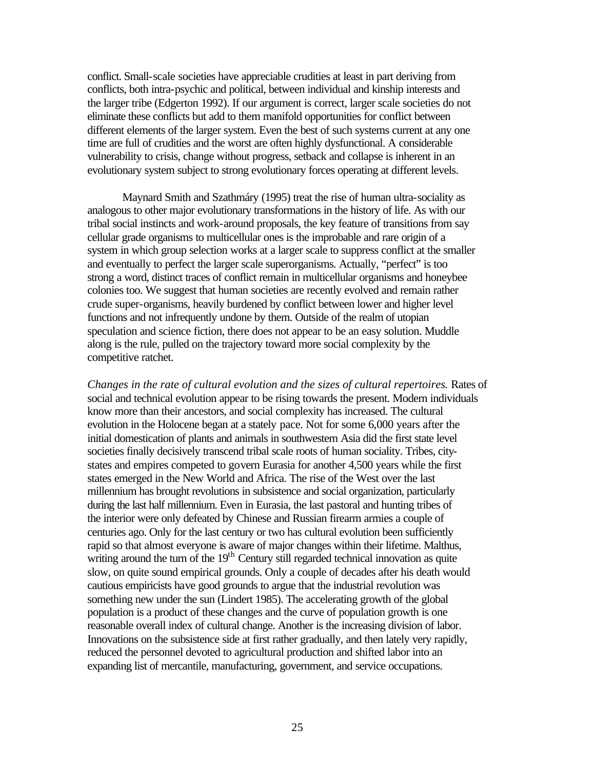conflict. Small-scale societies have appreciable crudities at least in part deriving from conflicts, both intra-psychic and political, between individual and kinship interests and the larger tribe (Edgerton 1992). If our argument is correct, larger scale societies do not eliminate these conflicts but add to them manifold opportunities for conflict between different elements of the larger system. Even the best of such systems current at any one time are full of crudities and the worst are often highly dysfunctional. A considerable vulnerability to crisis, change without progress, setback and collapse is inherent in an evolutionary system subject to strong evolutionary forces operating at different levels.

Maynard Smith and Szathmáry (1995) treat the rise of human ultra-sociality as analogous to other major evolutionary transformations in the history of life. As with our tribal social instincts and work-around proposals, the key feature of transitions from say cellular grade organisms to multicellular ones is the improbable and rare origin of a system in which group selection works at a larger scale to suppress conflict at the smaller and eventually to perfect the larger scale superorganisms. Actually, "perfect" is too strong a word, distinct traces of conflict remain in multicellular organisms and honeybee colonies too. We suggest that human societies are recently evolved and remain rather crude super-organisms, heavily burdened by conflict between lower and higher level functions and not infrequently undone by them. Outside of the realm of utopian speculation and science fiction, there does not appear to be an easy solution. Muddle along is the rule, pulled on the trajectory toward more social complexity by the competitive ratchet.

*Changes in the rate of cultural evolution and the sizes of cultural repertoires. Rates of* social and technical evolution appear to be rising towards the present. Modern individuals know more than their ancestors, and social complexity has increased. The cultural evolution in the Holocene began at a stately pace. Not for some 6,000 years after the initial domestication of plants and animals in southwestern Asia did the first state level societies finally decisively transcend tribal scale roots of human sociality. Tribes, citystates and empires competed to govern Eurasia for another 4,500 years while the first states emerged in the New World and Africa. The rise of the West over the last millennium has brought revolutions in subsistence and social organization, particularly during the last half millennium. Even in Eurasia, the last pastoral and hunting tribes of the interior were only defeated by Chinese and Russian firearm armies a couple of centuries ago. Only for the last century or two has cultural evolution been sufficiently rapid so that almost everyone is aware of major changes within their lifetime. Malthus, writing around the turn of the 19<sup>th</sup> Century still regarded technical innovation as quite slow, on quite sound empirical grounds. Only a couple of decades after his death would cautious empiricists have good grounds to argue that the industrial revolution was something new under the sun (Lindert 1985). The accelerating growth of the global population is a product of these changes and the curve of population growth is one reasonable overall index of cultural change. Another is the increasing division of labor. Innovations on the subsistence side at first rather gradually, and then lately very rapidly, reduced the personnel devoted to agricultural production and shifted labor into an expanding list of mercantile, manufacturing, government, and service occupations.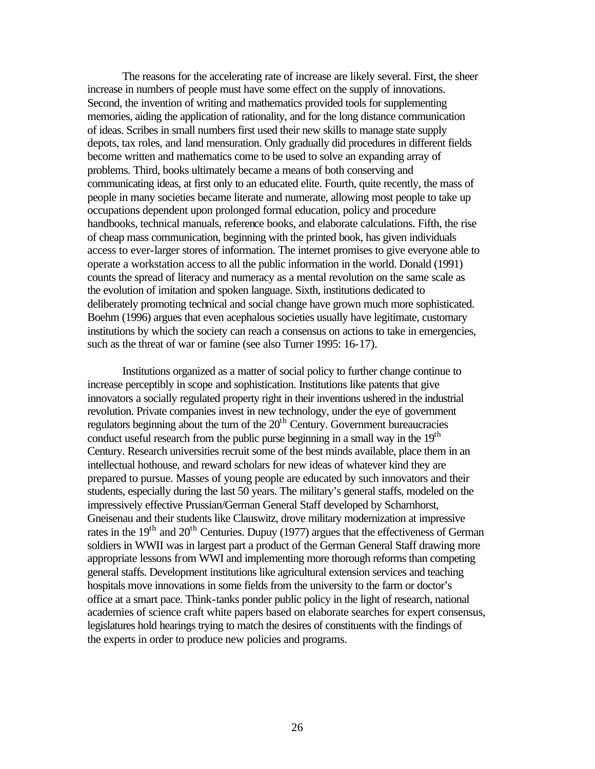The reasons for the accelerating rate of increase are likely several. First, the sheer increase in numbers of people must have some effect on the supply of innovations. Second, the invention of writing and mathematics provided tools for supplementing memories, aiding the application of rationality, and for the long distance communication of ideas. Scribes in small numbers first used their new skills to manage state supply depots, tax roles, and land mensuration. Only gradually did procedures in different fields become written and mathematics come to be used to solve an expanding array of problems. Third, books ultimately became a means of both conserving and communicating ideas, at first only to an educated elite. Fourth, quite recently, the mass of people in many societies became literate and numerate, allowing most people to take up occupations dependent upon prolonged formal education, policy and procedure handbooks, technical manuals, reference books, and elaborate calculations. Fifth, the rise of cheap mass communication, beginning with the printed book, has given individuals access to ever-larger stores of information. The internet promises to give everyone able to operate a workstation access to all the public information in the world. Donald (1991) counts the spread of literacy and numeracy as a mental revolution on the same scale as the evolution of imitation and spoken language. Sixth, institutions dedicated to deliberately promoting technical and social change have grown much more sophisticated. Boehm (1996) argues that even acephalous societies usually have legitimate, customary institutions by which the society can reach a consensus on actions to take in emergencies, such as the threat of war or famine (see also Turner 1995: 16-17).

Institutions organized as a matter of social policy to further change continue to increase perceptibly in scope and sophistication. Institutions like patents that give innovators a socially regulated property right in their inventions ushered in the industrial revolution. Private companies invest in new technology, under the eye of government regulators beginning about the turn of the  $20<sup>th</sup>$  Century. Government bureaucracies conduct useful research from the public purse beginning in a small way in the  $19<sup>th</sup>$ Century. Research universities recruit some of the best minds available, place them in an intellectual hothouse, and reward scholars for new ideas of whatever kind they are prepared to pursue. Masses of young people are educated by such innovators and their students, especially during the last 50 years. The military's general staffs, modeled on the impressively effective Prussian/German General Staff developed by Scharnhorst, Gneisenau and their students like Clauswitz, drove military modernization at impressive rates in the 19<sup>th</sup> and 20<sup>th</sup> Centuries. Dupuy (1977) argues that the effectiveness of German soldiers in WWII was in largest part a product of the German General Staff drawing more appropriate lessons from WWI and implementing more thorough reforms than competing general staffs. Development institutions like agricultural extension services and teaching hospitals move innovations in some fields from the university to the farm or doctor's office at a smart pace. Think-tanks ponder public policy in the light of research, national academies of science craft white papers based on elaborate searches for expert consensus, legislatures hold hearings trying to match the desires of constituents with the findings of the experts in order to produce new policies and programs.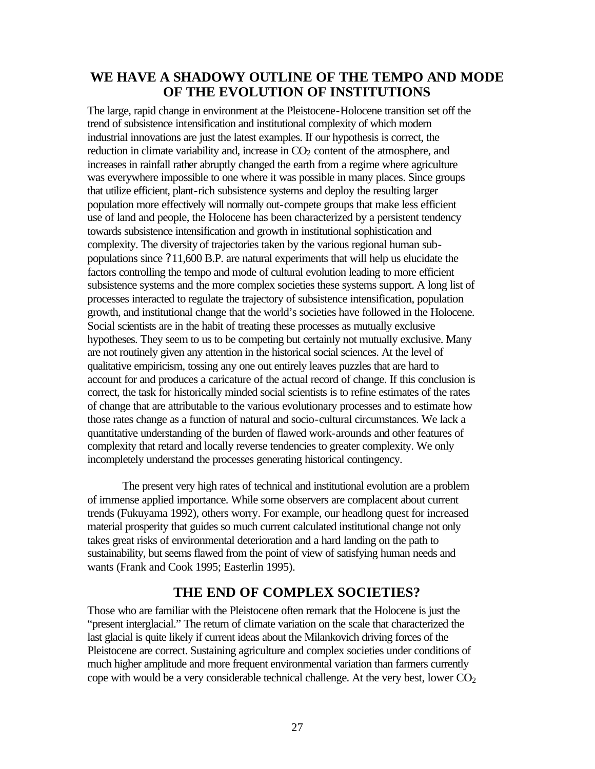# **WE HAVE A SHADOWY OUTLINE OF THE TEMPO AND MODE OF THE EVOLUTION OF INSTITUTIONS**

The large, rapid change in environment at the Pleistocene-Holocene transition set off the trend of subsistence intensification and institutional complexity of which modern industrial innovations are just the latest examples. If our hypothesis is correct, the reduction in climate variability and, increase in  $CO<sub>2</sub>$  content of the atmosphere, and increases in rainfall rather abruptly changed the earth from a regime where agriculture was everywhere impossible to one where it was possible in many places. Since groups that utilize efficient, plant-rich subsistence systems and deploy the resulting larger population more effectively will normally out-compete groups that make less efficient use of land and people, the Holocene has been characterized by a persistent tendency towards subsistence intensification and growth in institutional sophistication and complexity. The diversity of trajectories taken by the various regional human subpopulations since ?11,600 B.P. are natural experiments that will help us elucidate the factors controlling the tempo and mode of cultural evolution leading to more efficient subsistence systems and the more complex societies these systems support. A long list of processes interacted to regulate the trajectory of subsistence intensification, population growth, and institutional change that the world's societies have followed in the Holocene. Social scientists are in the habit of treating these processes as mutually exclusive hypotheses. They seem to us to be competing but certainly not mutually exclusive. Many are not routinely given any attention in the historical social sciences. At the level of qualitative empiricism, tossing any one out entirely leaves puzzles that are hard to account for and produces a caricature of the actual record of change. If this conclusion is correct, the task for historically minded social scientists is to refine estimates of the rates of change that are attributable to the various evolutionary processes and to estimate how those rates change as a function of natural and socio-cultural circumstances. We lack a quantitative understanding of the burden of flawed work-arounds and other features of complexity that retard and locally reverse tendencies to greater complexity. We only incompletely understand the processes generating historical contingency.

The present very high rates of technical and institutional evolution are a problem of immense applied importance. While some observers are complacent about current trends (Fukuyama 1992), others worry. For example, our headlong quest for increased material prosperity that guides so much current calculated institutional change not only takes great risks of environmental deterioration and a hard landing on the path to sustainability, but seems flawed from the point of view of satisfying human needs and wants (Frank and Cook 1995; Easterlin 1995).

# **THE END OF COMPLEX SOCIETIES?**

Those who are familiar with the Pleistocene often remark that the Holocene is just the "present interglacial." The return of climate variation on the scale that characterized the last glacial is quite likely if current ideas about the Milankovich driving forces of the Pleistocene are correct. Sustaining agriculture and complex societies under conditions of much higher amplitude and more frequent environmental variation than farmers currently cope with would be a very considerable technical challenge. At the very best, lower  $CO<sub>2</sub>$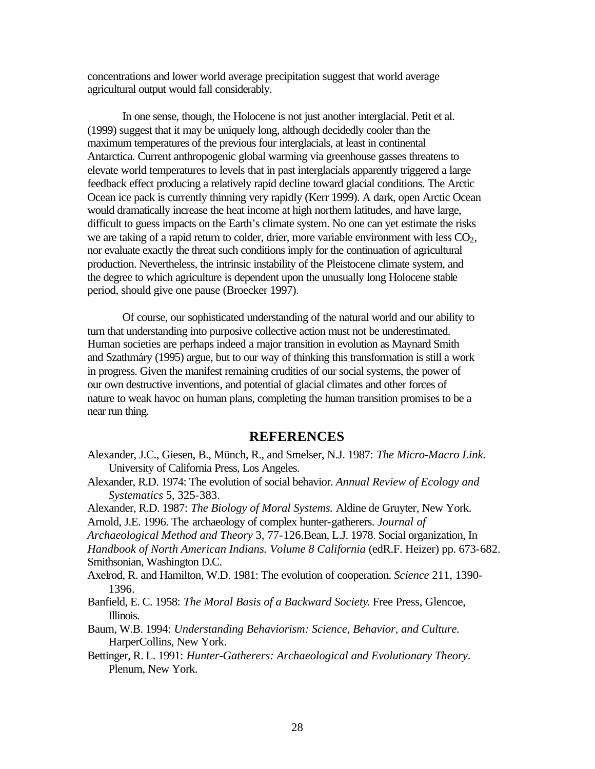concentrations and lower world average precipitation suggest that world average agricultural output would fall considerably.

In one sense, though, the Holocene is not just another interglacial. Petit et al. (1999) suggest that it may be uniquely long, although decidedly cooler than the maximum temperatures of the previous four interglacials, at least in continental Antarctica. Current anthropogenic global warming via greenhouse gasses threatens to elevate world temperatures to levels that in past interglacials apparently triggered a large feedback effect producing a relatively rapid decline toward glacial conditions. The Arctic Ocean ice pack is currently thinning very rapidly (Kerr 1999). A dark, open Arctic Ocean would dramatically increase the heat income at high northern latitudes, and have large, difficult to guess impacts on the Earth's climate system. No one can yet estimate the risks we are taking of a rapid return to colder, drier, more variable environment with less  $CO<sub>2</sub>$ , nor evaluate exactly the threat such conditions imply for the continuation of agricultural production. Nevertheless, the intrinsic instability of the Pleistocene climate system, and the degree to which agriculture is dependent upon the unusually long Holocene stable period, should give one pause (Broecker 1997).

Of course, our sophisticated understanding of the natural world and our ability to turn that understanding into purposive collective action must not be underestimated. Human societies are perhaps indeed a major transition in evolution as Maynard Smith and Szathmáry (1995) argue, but to our way of thinking this transformation is still a work in progress. Given the manifest remaining crudities of our social systems, the power of our own destructive inventions, and potential of glacial climates and other forces of nature to weak havoc on human plans, completing the human transition promises to be a near run thing.

## **REFERENCES**

- Alexander, J.C., Giesen, B., Münch, R., and Smelser, N.J. 1987: *The Micro-Macro Link.*  University of California Press, Los Angeles.
- Alexander, R.D. 1974: The evolution of social behavior. *Annual Review of Ecology and Systematics* 5, 325-383.
- Alexander, R.D. 1987: *The Biology of Moral Systems.* Aldine de Gruyter, New York. Arnold, J.E. 1996. The archaeology of complex hunter-gatherers. *Journal of*

*Archaeological Method and Theory* 3, 77-126.Bean, L.J. 1978. Social organization, In *Handbook of North American Indians. Volume 8 California* (edR.F. Heizer) pp. 673-682.

Smithsonian, Washington D.C.

- Axelrod, R. and Hamilton, W.D. 1981: The evolution of cooperation. *Science* 211, 1390- 1396.
- Banfield, E. C. 1958: *The Moral Basis of a Backward Society*. Free Press, Glencoe, Illinois.
- Baum, W.B. 1994: *Understanding Behaviorism: Science, Behavior, and Culture.*  HarperCollins, New York.

Bettinger, R. L. 1991: *Hunter-Gatherers: Archaeological and Evolutionary Theory*. Plenum, New York.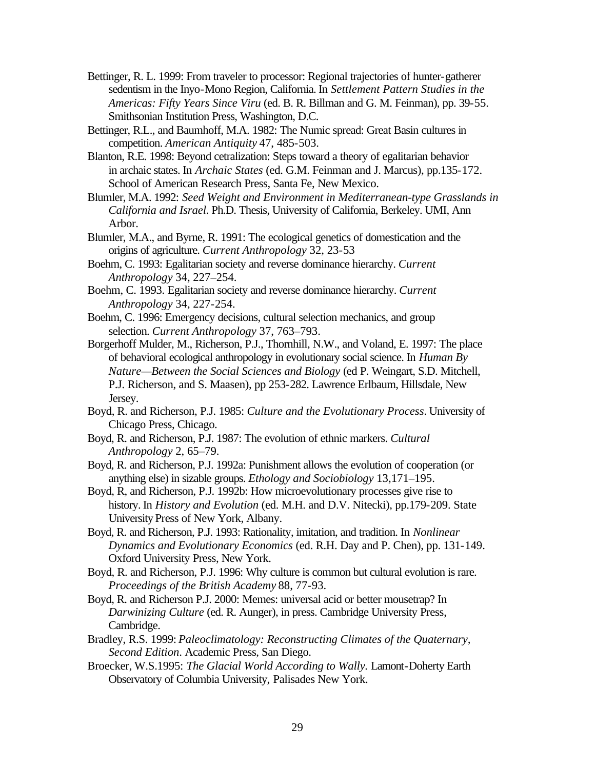- Bettinger, R. L. 1999: From traveler to processor: Regional trajectories of hunter-gatherer sedentism in the Inyo-Mono Region, California. In *Settlement Pattern Studies in the Americas: Fifty Years Since Viru* (ed. B. R. Billman and G. M. Feinman), pp. 39-55. Smithsonian Institution Press, Washington, D.C.
- Bettinger, R.L., and Baumhoff, M.A. 1982: The Numic spread: Great Basin cultures in competition. *American Antiquity* 47, 485-503.
- Blanton, R.E. 1998: Beyond cetralization: Steps toward a theory of egalitarian behavior in archaic states. In *Archaic States* (ed. G.M. Feinman and J. Marcus), pp.135-172. School of American Research Press, Santa Fe, New Mexico.
- Blumler, M.A. 1992: *Seed Weight and Environment in Mediterranean-type Grasslands in California and Israel*. Ph.D. Thesis, University of California, Berkeley. UMI, Ann Arbor.
- Blumler, M.A., and Byrne, R. 1991: The ecological genetics of domestication and the origins of agriculture. *Current Anthropology* 32, 23-53
- Boehm, C. 1993: Egalitarian society and reverse dominance hierarchy. *Current Anthropology* 34, 227–254.
- Boehm, C. 1993. Egalitarian society and reverse dominance hierarchy. *Current Anthropology* 34, 227-254.
- Boehm, C. 1996: Emergency decisions, cultural selection mechanics, and group selection. *Current Anthropology* 37, 763–793.
- Borgerhoff Mulder, M., Richerson, P.J., Thornhill, N.W., and Voland, E. 1997: The place of behavioral ecological anthropology in evolutionary social science. In *Human By Nature—Between the Social Sciences and Biology* (ed P. Weingart, S.D. Mitchell, P.J. Richerson, and S. Maasen), pp 253-282. Lawrence Erlbaum, Hillsdale, New Jersey.
- Boyd, R. and Richerson, P.J. 1985: *Culture and the Evolutionary Process*. University of Chicago Press, Chicago.
- Boyd, R. and Richerson, P.J. 1987: The evolution of ethnic markers. *Cultural Anthropology* 2, 65–79.
- Boyd, R. and Richerson, P.J. 1992a: Punishment allows the evolution of cooperation (or anything else) in sizable groups. *Ethology and Sociobiology* 13,171–195.
- Boyd, R, and Richerson, P.J. 1992b: How microevolutionary processes give rise to history. In *History and Evolution* (ed. M.H. and D.V. Nitecki), pp.179-209. State University Press of New York, Albany.
- Boyd, R. and Richerson, P.J. 1993: Rationality, imitation, and tradition. In *Nonlinear Dynamics and Evolutionary Economics* (ed. R.H. Day and P. Chen), pp. 131-149. Oxford University Press, New York.
- Boyd, R. and Richerson, P.J. 1996: Why culture is common but cultural evolution is rare. *Proceedings of the British Academy* 88, 77-93.
- Boyd, R. and Richerson P.J. 2000: Memes: universal acid or better mousetrap? In *Darwinizing Culture* (ed. R. Aunger), in press. Cambridge University Press, Cambridge.
- Bradley, R.S. 1999: *Paleoclimatology: Reconstructing Climates of the Quaternary, Second Edition*. Academic Press, San Diego.
- Broecker, W.S.1995: *The Glacial World According to Wally.* Lamont-Doherty Earth Observatory of Columbia University, Palisades New York.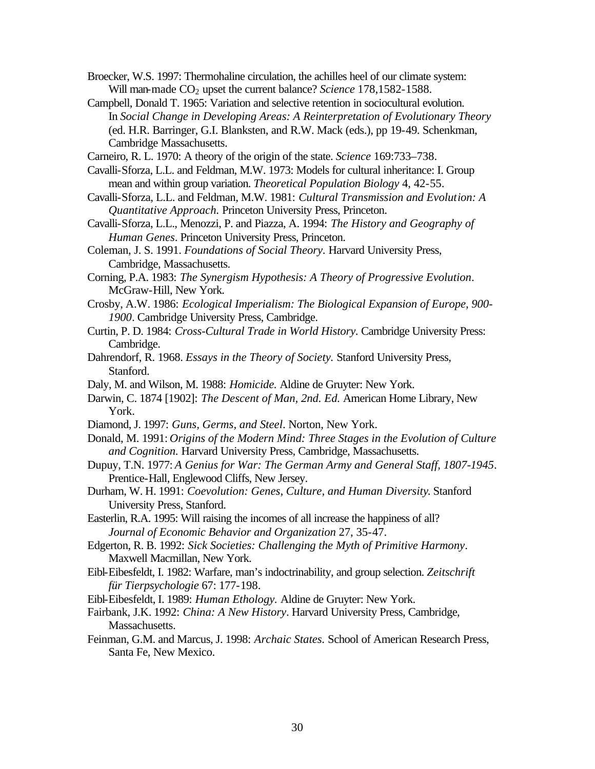- Broecker, W.S. 1997: Thermohaline circulation, the achilles heel of our climate system: Will man-made CO<sub>2</sub> upset the current balance? *Science* 178,1582-1588.
- Campbell, Donald T. 1965: Variation and selective retention in sociocultural evolution. In *Social Change in Developing Areas: A Reinterpretation of Evolutionary Theory*  (ed. H.R. Barringer, G.I. Blanksten, and R.W. Mack (eds.), pp 19-49. Schenkman, Cambridge Massachusetts.
- Carneiro, R. L. 1970: A theory of the origin of the state. *Science* 169:733–738.
- Cavalli-Sforza, L.L. and Feldman, M.W. 1973: Models for cultural inheritance: I. Group mean and within group variation. *Theoretical Population Biology* 4, 42-55.
- Cavalli-Sforza, L.L. and Feldman, M.W. 1981: *Cultural Transmission and Evolution: A Quantitative Approach.* Princeton University Press, Princeton.
- Cavalli-Sforza, L.L., Menozzi, P. and Piazza, A. 1994: *The History and Geography of Human Genes*. Princeton University Press, Princeton.
- Coleman, J. S. 1991. *Foundations of Social Theory.* Harvard University Press, Cambridge, Massachusetts.
- Corning, P.A. 1983: *The Synergism Hypothesis: A Theory of Progressive Evolution*. McGraw-Hill, New York.
- Crosby, A.W. 1986: *Ecological Imperialism: The Biological Expansion of Europe, 900- 1900*. Cambridge University Press, Cambridge.
- Curtin, P. D. 1984: *Cross-Cultural Trade in World History.* Cambridge University Press: Cambridge.
- Dahrendorf, R. 1968. *Essays in the Theory of Society.* Stanford University Press, Stanford.
- Daly, M. and Wilson, M. 1988: *Homicide.* Aldine de Gruyter: New York.
- Darwin, C. 1874 [1902]: *The Descent of Man, 2nd. Ed.* American Home Library, New York.
- Diamond, J. 1997: *Guns, Germs, and Steel*. Norton, New York.
- Donald, M. 1991: *Origins of the Modern Mind: Three Stages in the Evolution of Culture and Cognition.* Harvard University Press, Cambridge, Massachusetts.
- Dupuy, T.N. 1977: *A Genius for War: The German Army and General Staff, 1807-1945*. Prentice-Hall, Englewood Cliffs, New Jersey.
- Durham, W. H. 1991: *Coevolution: Genes, Culture, and Human Diversity*. Stanford University Press, Stanford.
- Easterlin, R.A. 1995: Will raising the incomes of all increase the happiness of all? *Journal of Economic Behavior and Organization* 27, 35-47.
- Edgerton, R. B. 1992: *Sick Societies: Challenging the Myth of Primitive Harmony*. Maxwell Macmillan, New York.
- Eibl-Eibesfeldt, I. 1982: Warfare, man's indoctrinability, and group selection. *Zeitschrift für Tierpsychologie* 67: 177-198.
- Eibl-Eibesfeldt, I. 1989: *Human Ethology.* Aldine de Gruyter: New York.
- Fairbank, J.K. 1992: *China: A New History*. Harvard University Press, Cambridge, Massachusetts.
- Feinman, G.M. and Marcus, J. 1998: *Archaic States.* School of American Research Press, Santa Fe, New Mexico.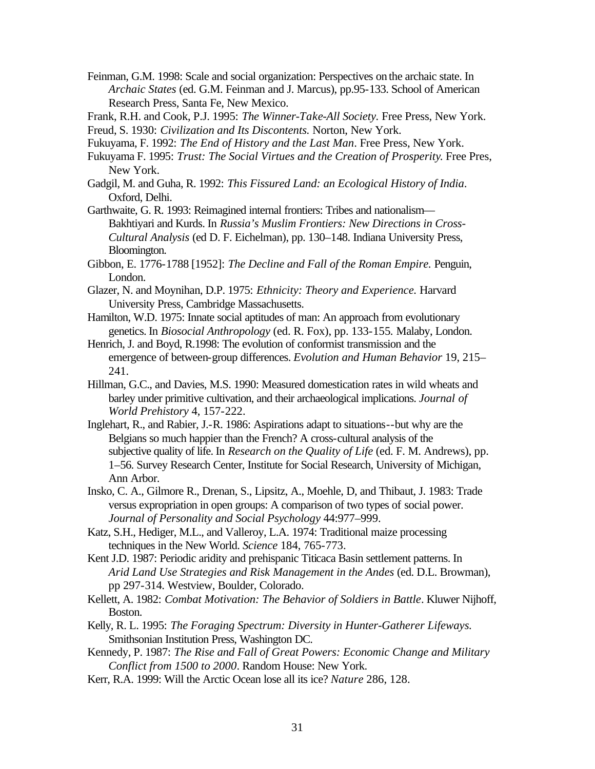- Feinman, G.M. 1998: Scale and social organization: Perspectives on the archaic state. In *Archaic States* (ed. G.M. Feinman and J. Marcus), pp.95-133. School of American Research Press, Santa Fe, New Mexico.
- Frank, R.H. and Cook, P.J. 1995: *The Winner-Take-All Society.* Free Press, New York.
- Freud, S. 1930: *Civilization and Its Discontents.* Norton, New York.
- Fukuyama, F. 1992: *The End of History and the Last Man*. Free Press, New York.
- Fukuyama F. 1995: *Trust: The Social Virtues and the Creation of Prosperity*. Free Pres, New York.
- Gadgil, M. and Guha, R. 1992: *This Fissured Land: an Ecological History of India*. Oxford, Delhi.
- Garthwaite, G. R. 1993: Reimagined internal frontiers: Tribes and nationalism— Bakhtiyari and Kurds. In *Russia's Muslim Frontiers: New Directions in Cross-Cultural Analysis* (ed D. F. Eichelman), pp. 130–148. Indiana University Press, Bloomington.
- Gibbon, E. 1776-1788 [1952]: *The Decline and Fall of the Roman Empire.* Penguin, London.
- Glazer, N. and Moynihan, D.P. 1975: *Ethnicity: Theory and Experience.* Harvard University Press, Cambridge Massachusetts.
- Hamilton, W.D. 1975: Innate social aptitudes of man: An approach from evolutionary genetics. In *Biosocial Anthropology* (ed. R. Fox), pp. 133-155*.* Malaby, London.
- Henrich, J. and Boyd, R.1998: The evolution of conformist transmission and the emergence of between-group differences. *Evolution and Human Behavior* 19, 215– 241.
- Hillman, G.C., and Davies, M.S. 1990: Measured domestication rates in wild wheats and barley under primitive cultivation, and their archaeological implications. *Journal of World Prehistory* 4, 157-222.
- Inglehart, R., and Rabier, J.-R. 1986: Aspirations adapt to situations--but why are the Belgians so much happier than the French? A cross-cultural analysis of the subjective quality of life. In *Research on the Quality of Life* (ed. F. M. Andrews), pp. 1–56. Survey Research Center, Institute for Social Research, University of Michigan, Ann Arbor.
- Insko, C. A., Gilmore R., Drenan, S., Lipsitz, A., Moehle, D, and Thibaut, J. 1983: Trade versus expropriation in open groups: A comparison of two types of social power. *Journal of Personality and Social Psychology* 44:977–999.
- Katz, S.H., Hediger, M.L., and Valleroy, L.A. 1974: Traditional maize processing techniques in the New World. *Science* 184, 765-773.
- Kent J.D. 1987: Periodic aridity and prehispanic Titicaca Basin settlement patterns. In *Arid Land Use Strategies and Risk Management in the Andes* (ed. D.L. Browman), pp 297-314. Westview, Boulder, Colorado.
- Kellett, A. 1982: *Combat Motivation: The Behavior of Soldiers in Battle*. Kluwer Nijhoff, Boston.
- Kelly, R. L. 1995: *The Foraging Spectrum: Diversity in Hunter-Gatherer Lifeways.*  Smithsonian Institution Press, Washington DC.
- Kennedy, P. 1987: *The Rise and Fall of Great Powers: Economic Change and Military Conflict from 1500 to 2000*. Random House: New York.
- Kerr, R.A. 1999: Will the Arctic Ocean lose all its ice? *Nature* 286, 128.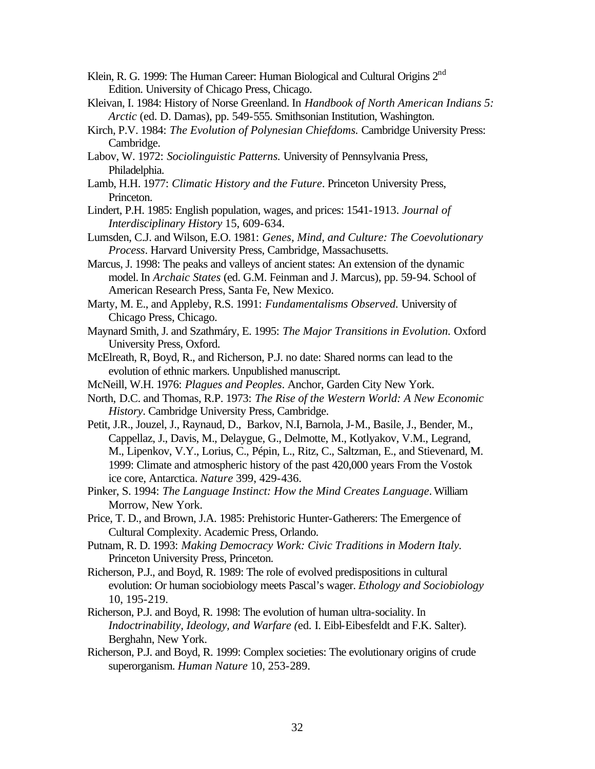- Klein, R. G. 1999: The Human Career: Human Biological and Cultural Origins 2<sup>nd</sup> Edition. University of Chicago Press, Chicago.
- Kleivan, I. 1984: History of Norse Greenland. In *Handbook of North American Indians 5: Arctic* (ed. D. Damas), pp. 549-555. Smithsonian Institution, Washington.
- Kirch, P.V. 1984: *The Evolution of Polynesian Chiefdoms.* Cambridge University Press: Cambridge.
- Labov, W. 1972: *Sociolinguistic Patterns.* University of Pennsylvania Press, Philadelphia.
- Lamb, H.H. 1977: *Climatic History and the Future*. Princeton University Press, Princeton.
- Lindert, P.H. 1985: English population, wages, and prices: 1541-1913. *Journal of Interdisciplinary History* 15, 609-634.
- Lumsden, C.J. and Wilson, E.O. 1981: *Genes, Mind, and Culture: The Coevolutionary Process*. Harvard University Press, Cambridge, Massachusetts.
- Marcus, J. 1998: The peaks and valleys of ancient states: An extension of the dynamic model. In *Archaic States* (ed. G.M. Feinman and J. Marcus), pp. 59-94. School of American Research Press, Santa Fe, New Mexico.
- Marty, M. E., and Appleby, R.S. 1991: *Fundamentalisms Observed.* University of Chicago Press, Chicago.
- Maynard Smith, J. and Szathmáry, E. 1995: *The Major Transitions in Evolution.* Oxford University Press, Oxford.
- McElreath, R, Boyd, R., and Richerson, P.J. no date: Shared norms can lead to the evolution of ethnic markers. Unpublished manuscript.
- McNeill, W.H. 1976: *Plagues and Peoples*. Anchor, Garden City New York.
- North, D.C. and Thomas, R.P. 1973: *The Rise of the Western World: A New Economic History*. Cambridge University Press, Cambridge.
- Petit, J.R., Jouzel, J., Raynaud, D., Barkov, N.I, Barnola, J-M., Basile, J., Bender, M., Cappellaz, J., Davis, M., Delaygue, G., Delmotte, M., Kotlyakov, V.M., Legrand, M., Lipenkov, V.Y., Lorius, C., Pépin, L., Ritz, C., Saltzman, E., and Stievenard, M. 1999: Climate and atmospheric history of the past 420,000 years From the Vostok ice core, Antarctica. *Nature* 399, 429-436.
- Pinker, S. 1994: *The Language Instinct: How the Mind Creates Language*. William Morrow, New York.
- Price, T. D., and Brown, J.A. 1985: Prehistoric Hunter-Gatherers: The Emergence of Cultural Complexity. Academic Press, Orlando.
- Putnam, R. D. 1993: *Making Democracy Work: Civic Traditions in Modern Italy.*  Princeton University Press, Princeton.
- Richerson, P.J., and Boyd, R. 1989: The role of evolved predispositions in cultural evolution: Or human sociobiology meets Pascal's wager. *Ethology and Sociobiology*  10, 195-219.
- Richerson, P.J. and Boyd, R. 1998: The evolution of human ultra-sociality. In *Indoctrinability, Ideology, and Warfare (*ed*.* I. Eibl-Eibesfeldt and F.K. Salter). Berghahn, New York.
- Richerson, P.J. and Boyd, R. 1999: Complex societies: The evolutionary origins of crude superorganism. *Human Nature* 10, 253-289.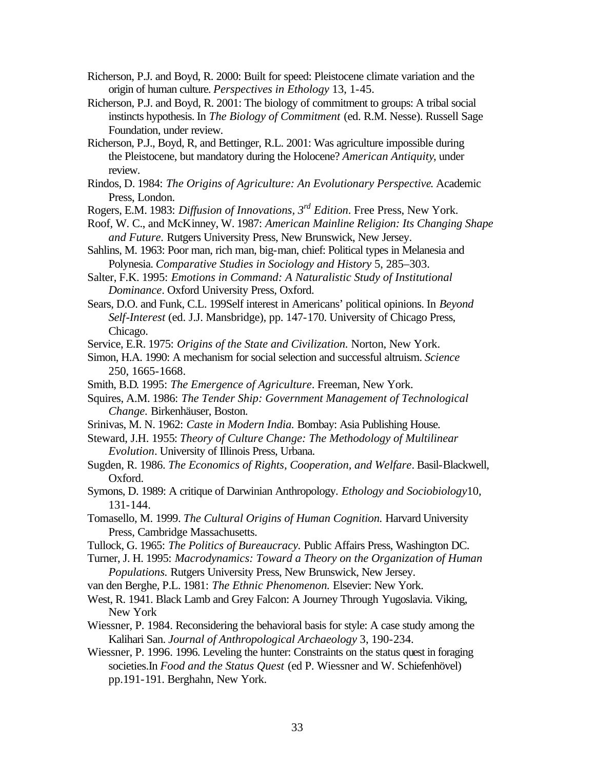- Richerson, P.J. and Boyd, R. 2000: Built for speed: Pleistocene climate variation and the origin of human culture. *Perspectives in Ethology* 13, 1-45.
- Richerson, P.J. and Boyd, R. 2001: The biology of commitment to groups: A tribal social instincts hypothesis. In *The Biology of Commitment* (ed. R.M. Nesse). Russell Sage Foundation, under review.
- Richerson, P.J., Boyd, R, and Bettinger, R.L. 2001: Was agriculture impossible during the Pleistocene, but mandatory during the Holocene? *American Antiquity*, under review.
- Rindos, D. 1984: *The Origins of Agriculture: An Evolutionary Perspective*. Academic Press, London.
- Rogers, E.M. 1983: *Diffusion of Innovations, 3rd Edition*. Free Press, New York.
- Roof, W. C., and McKinney, W. 1987: *American Mainline Religion: Its Changing Shape and Future.* Rutgers University Press, New Brunswick, New Jersey.
- Sahlins, M. 1963: Poor man, rich man, big-man, chief: Political types in Melanesia and Polynesia. *Comparative Studies in Sociology and History* 5, 285–303.
- Salter, F.K. 1995: *Emotions in Command: A Naturalistic Study of Institutional Dominance*. Oxford University Press, Oxford.
- Sears, D.O. and Funk, C.L. 199Self interest in Americans' political opinions. In *Beyond Self-Interest* (ed. J.J. Mansbridge), pp. 147-170. University of Chicago Press, Chicago.
- Service, E.R. 1975: *Origins of the State and Civilization.* Norton, New York.
- Simon, H.A. 1990: A mechanism for social selection and successful altruism. *Science* 250, 1665-1668.
- Smith, B.D. 1995: *The Emergence of Agriculture*. Freeman, New York.
- Squires, A.M. 1986: *The Tender Ship: Government Management of Technological Change.* Birkenhäuser, Boston.
- Srinivas, M. N. 1962: *Caste in Modern India.* Bombay: Asia Publishing House.
- Steward, J.H. 1955: *Theory of Culture Change: The Methodology of Multilinear Evolution*. University of Illinois Press, Urbana.
- Sugden, R. 1986. *The Economics of Rights, Cooperation, and Welfare*. Basil-Blackwell, Oxford.
- Symons, D. 1989: A critique of Darwinian Anthropology. *Ethology and Sociobiology*10, 131-144.
- Tomasello, M. 1999. *The Cultural Origins of Human Cognition.* Harvard University Press, Cambridge Massachusetts.
- Tullock, G. 1965: *The Politics of Bureaucracy.* Public Affairs Press, Washington DC.
- Turner, J. H. 1995: *Macrodynamics: Toward a Theory on the Organization of Human Populations.* Rutgers University Press, New Brunswick, New Jersey.
- van den Berghe, P.L. 1981: *The Ethnic Phenomenon.* Elsevier: New York.
- West, R. 1941. Black Lamb and Grey Falcon: A Journey Through Yugoslavia. Viking, New York
- Wiessner, P. 1984. Reconsidering the behavioral basis for style: A case study among the Kalihari San. *Journal of Anthropological Archaeology* 3, 190-234.
- Wiessner, P. 1996. 1996. Leveling the hunter: Constraints on the status quest in foraging societies.In *Food and the Status Quest* (ed P. Wiessner and W. Schiefenhövel) pp.191-191. Berghahn, New York.